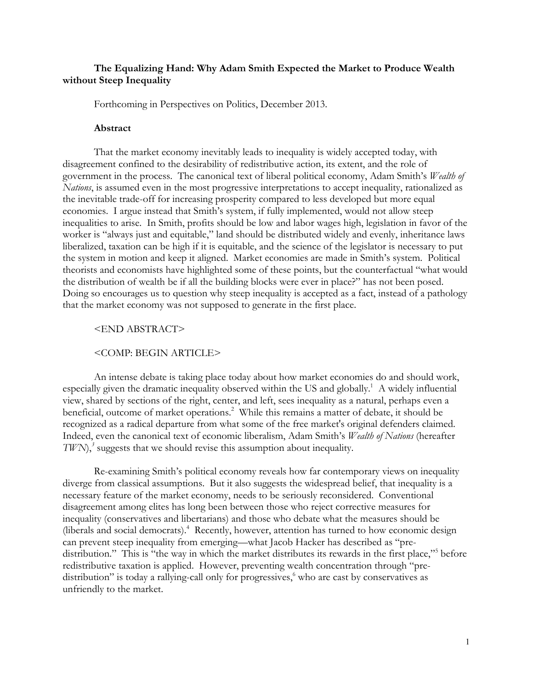# **The Equalizing Hand: Why Adam Smith Expected the Market to Produce Wealth without Steep Inequality**

Forthcoming in Perspectives on Politics, December 2013.

#### **Abstract**

That the market economy inevitably leads to inequality is widely accepted today, with disagreement confined to the desirability of redistributive action, its extent, and the role of government in the process. The canonical text of liberal political economy, Adam Smith's *Wealth of Nations*, is assumed even in the most progressive interpretations to accept inequality, rationalized as the inevitable trade-off for increasing prosperity compared to less developed but more equal economies. I argue instead that Smith's system, if fully implemented, would not allow steep inequalities to arise. In Smith, profits should be low and labor wages high, legislation in favor of the worker is "always just and equitable," land should be distributed widely and evenly, inheritance laws liberalized, taxation can be high if it is equitable, and the science of the legislator is necessary to put the system in motion and keep it aligned. Market economies are made in Smith's system. Political theorists and economists have highlighted some of these points, but the counterfactual "what would the distribution of wealth be if all the building blocks were ever in place?" has not been posed. Doing so encourages us to question why steep inequality is accepted as a fact, instead of a pathology that the market economy was not supposed to generate in the first place.

#### <END ABSTRACT>

### <COMP: BEGIN ARTICLE>

An intense debate is taking place today about how market economies do and should work, especially given the dramatic inequality observed within the US and globally.<sup>1</sup> A widely influential view, shared by sections of the right, center, and left, sees inequality as a natural, perhaps even a beneficial, outcome of market operations.<sup>2</sup> While this remains a matter of debate, it should be recognized as a radical departure from what some of the free market's original defenders claimed. Indeed, even the canonical text of economic liberalism, Adam Smith's *Wealth of Nations* (hereafter *TWN*),<sup>3</sup> suggests that we should revise this assumption about inequality.

Re-examining Smith's political economy reveals how far contemporary views on inequality diverge from classical assumptions. But it also suggests the widespread belief, that inequality is a necessary feature of the market economy, needs to be seriously reconsidered. Conventional disagreement among elites has long been between those who reject corrective measures for inequality (conservatives and libertarians) and those who debate what the measures should be (liberals and social democrats).4 Recently, however, attention has turned to how economic design can prevent steep inequality from emerging—what Jacob Hacker has described as "predistribution." This is "the way in which the market distributes its rewards in the first place,"<sup>5</sup> before redistributive taxation is applied. However, preventing wealth concentration through "predistribution" is today a rallying-call only for progressives, $\delta$  who are cast by conservatives as unfriendly to the market.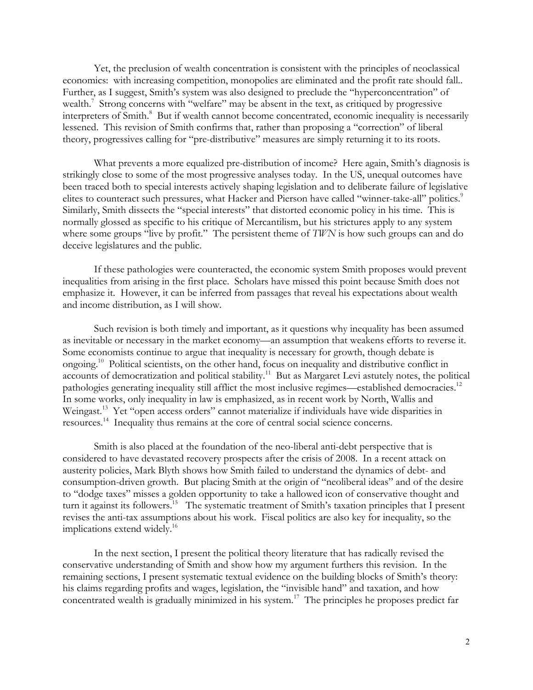Yet, the preclusion of wealth concentration is consistent with the principles of neoclassical economics: with increasing competition, monopolies are eliminated and the profit rate should fall.. Further, as I suggest, Smith's system was also designed to preclude the "hyperconcentration" of wealth.<sup>7</sup> Strong concerns with "welfare" may be absent in the text, as critiqued by progressive interpreters of Smith.<sup>8</sup> But if wealth cannot become concentrated, economic inequality is necessarily lessened. This revision of Smith confirms that, rather than proposing a "correction" of liberal theory, progressives calling for "pre-distributive" measures are simply returning it to its roots.

What prevents a more equalized pre-distribution of income? Here again, Smith's diagnosis is strikingly close to some of the most progressive analyses today. In the US, unequal outcomes have been traced both to special interests actively shaping legislation and to deliberate failure of legislative elites to counteract such pressures, what Hacker and Pierson have called "winner-take-all" politics.<sup>9</sup> Similarly, Smith dissects the "special interests" that distorted economic policy in his time. This is normally glossed as specific to his critique of Mercantilism, but his strictures apply to any system where some groups "live by profit." The persistent theme of *TWN* is how such groups can and do deceive legislatures and the public.

If these pathologies were counteracted, the economic system Smith proposes would prevent inequalities from arising in the first place. Scholars have missed this point because Smith does not emphasize it. However, it can be inferred from passages that reveal his expectations about wealth and income distribution, as I will show.

Such revision is both timely and important, as it questions why inequality has been assumed as inevitable or necessary in the market economy—an assumption that weakens efforts to reverse it. Some economists continue to argue that inequality is necessary for growth, though debate is ongoing.10 Political scientists, on the other hand, focus on inequality and distributive conflict in accounts of democratization and political stability.<sup>11</sup> But as Margaret Levi astutely notes, the political pathologies generating inequality still afflict the most inclusive regimes—established democracies.<sup>12</sup> In some works, only inequality in law is emphasized, as in recent work by North, Wallis and Weingast.<sup>13</sup> Yet "open access orders" cannot materialize if individuals have wide disparities in resources.14 Inequality thus remains at the core of central social science concerns.

Smith is also placed at the foundation of the neo-liberal anti-debt perspective that is considered to have devastated recovery prospects after the crisis of 2008. In a recent attack on austerity policies, Mark Blyth shows how Smith failed to understand the dynamics of debt- and consumption-driven growth. But placing Smith at the origin of "neoliberal ideas" and of the desire to "dodge taxes" misses a golden opportunity to take a hallowed icon of conservative thought and turn it against its followers.<sup>15</sup> The systematic treatment of Smith's taxation principles that I present revises the anti-tax assumptions about his work. Fiscal politics are also key for inequality, so the implications extend widely.<sup>16</sup>

In the next section, I present the political theory literature that has radically revised the conservative understanding of Smith and show how my argument furthers this revision. In the remaining sections, I present systematic textual evidence on the building blocks of Smith's theory: his claims regarding profits and wages, legislation, the "invisible hand" and taxation, and how concentrated wealth is gradually minimized in his system.17 The principles he proposes predict far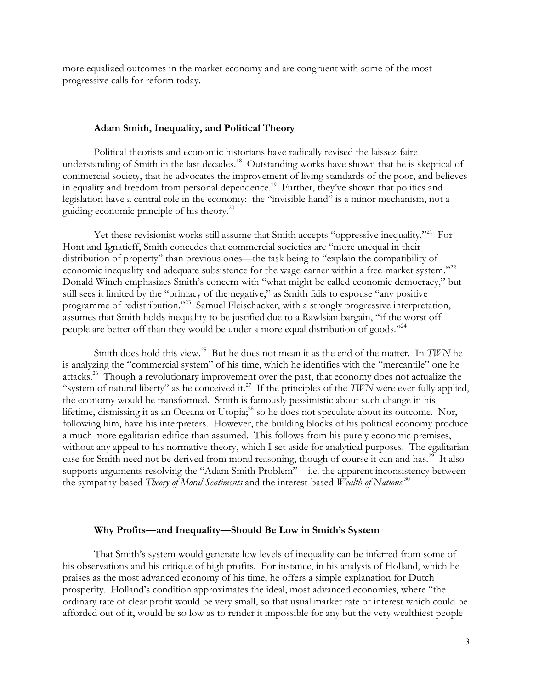more equalized outcomes in the market economy and are congruent with some of the most progressive calls for reform today.

#### **Adam Smith, Inequality, and Political Theory**

Political theorists and economic historians have radically revised the laissez-faire understanding of Smith in the last decades.<sup>18</sup> Outstanding works have shown that he is skeptical of commercial society, that he advocates the improvement of living standards of the poor, and believes in equality and freedom from personal dependence.<sup>19</sup> Further, they've shown that politics and legislation have a central role in the economy: the "invisible hand" is a minor mechanism, not a guiding economic principle of his theory.20

Yet these revisionist works still assume that Smith accepts "oppressive inequality."<sup>21</sup> For Hont and Ignatieff, Smith concedes that commercial societies are "more unequal in their distribution of property" than previous ones—the task being to "explain the compatibility of economic inequality and adequate subsistence for the wage-earner within a free-market system."<sup>22</sup> Donald Winch emphasizes Smith's concern with "what might be called economic democracy," but still sees it limited by the "primacy of the negative," as Smith fails to espouse "any positive programme of redistribution."<sup>23</sup> Samuel Fleischacker, with a strongly progressive interpretation, assumes that Smith holds inequality to be justified due to a Rawlsian bargain, "if the worst off people are better off than they would be under a more equal distribution of goods."24

Smith does hold this view.25 But he does not mean it as the end of the matter. In *TWN* he is analyzing the "commercial system" of his time, which he identifies with the "mercantile" one he attacks.26 Though a revolutionary improvement over the past, that economy does not actualize the "system of natural liberty" as he conceived it.<sup>27</sup> If the principles of the *TWN* were ever fully applied, the economy would be transformed. Smith is famously pessimistic about such change in his lifetime, dismissing it as an Oceana or Utopia;<sup>28</sup> so he does not speculate about its outcome. Nor, following him, have his interpreters. However, the building blocks of his political economy produce a much more egalitarian edifice than assumed. This follows from his purely economic premises, without any appeal to his normative theory, which I set aside for analytical purposes. The egalitarian case for Smith need not be derived from moral reasoning, though of course it can and has.<sup>29</sup> It also supports arguments resolving the "Adam Smith Problem"—i.e. the apparent inconsistency between the sympathy-based *Theory of Moral Sentiments* and the interest-based *Wealth of Nations*. 30

#### **Why Profits—and Inequality—Should Be Low in Smith's System**

That Smith's system would generate low levels of inequality can be inferred from some of his observations and his critique of high profits. For instance, in his analysis of Holland, which he praises as the most advanced economy of his time, he offers a simple explanation for Dutch prosperity. Holland's condition approximates the ideal, most advanced economies, where "the ordinary rate of clear profit would be very small, so that usual market rate of interest which could be afforded out of it, would be so low as to render it impossible for any but the very wealthiest people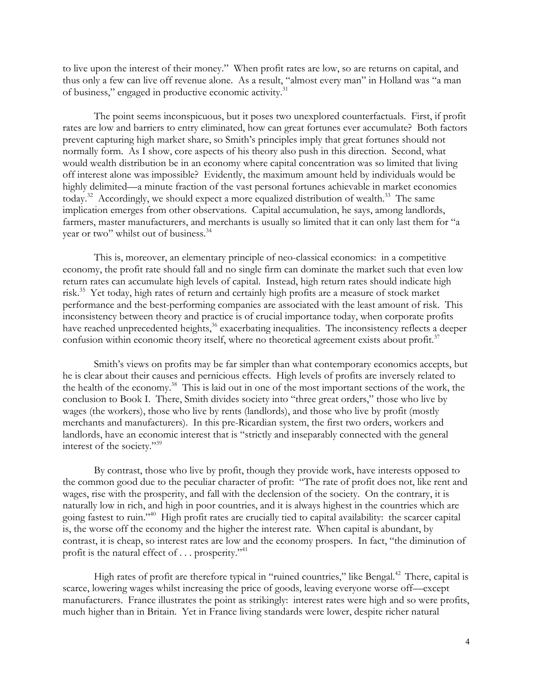to live upon the interest of their money." When profit rates are low, so are returns on capital, and thus only a few can live off revenue alone. As a result, "almost every man" in Holland was "a man of business," engaged in productive economic activity.<sup>31</sup>

The point seems inconspicuous, but it poses two unexplored counterfactuals. First, if profit rates are low and barriers to entry eliminated, how can great fortunes ever accumulate? Both factors prevent capturing high market share, so Smith's principles imply that great fortunes should not normally form. As I show, core aspects of his theory also push in this direction. Second, what would wealth distribution be in an economy where capital concentration was so limited that living off interest alone was impossible? Evidently, the maximum amount held by individuals would be highly delimited—a minute fraction of the vast personal fortunes achievable in market economies today.<sup>32</sup> Accordingly, we should expect a more equalized distribution of wealth.<sup>33</sup> The same implication emerges from other observations. Capital accumulation, he says, among landlords, farmers, master manufacturers, and merchants is usually so limited that it can only last them for "a year or two" whilst out of business.<sup>34</sup>

This is, moreover, an elementary principle of neo-classical economics: in a competitive economy, the profit rate should fall and no single firm can dominate the market such that even low return rates can accumulate high levels of capital. Instead, high return rates should indicate high risk.35 Yet today, high rates of return and certainly high profits are a measure of stock market performance and the best-performing companies are associated with the least amount of risk. This inconsistency between theory and practice is of crucial importance today, when corporate profits have reached unprecedented heights,<sup>36</sup> exacerbating inequalities. The inconsistency reflects a deeper confusion within economic theory itself, where no theoretical agreement exists about profit.<sup>37</sup>

Smith's views on profits may be far simpler than what contemporary economics accepts, but he is clear about their causes and pernicious effects. High levels of profits are inversely related to the health of the economy.<sup>38</sup> This is laid out in one of the most important sections of the work, the conclusion to Book I. There, Smith divides society into "three great orders," those who live by wages (the workers), those who live by rents (landlords), and those who live by profit (mostly merchants and manufacturers). In this pre-Ricardian system, the first two orders, workers and landlords, have an economic interest that is "strictly and inseparably connected with the general interest of the society."39

By contrast, those who live by profit, though they provide work, have interests opposed to the common good due to the peculiar character of profit: "The rate of profit does not, like rent and wages, rise with the prosperity, and fall with the declension of the society. On the contrary, it is naturally low in rich, and high in poor countries, and it is always highest in the countries which are going fastest to ruin."40 High profit rates are crucially tied to capital availability: the scarcer capital is, the worse off the economy and the higher the interest rate. When capital is abundant, by contrast, it is cheap, so interest rates are low and the economy prospers. In fact, "the diminution of profit is the natural effect of  $\ldots$  prosperity."<sup>41</sup>

High rates of profit are therefore typical in "ruined countries," like Bengal.<sup>42</sup> There, capital is scarce, lowering wages whilst increasing the price of goods, leaving everyone worse off—except manufacturers. France illustrates the point as strikingly: interest rates were high and so were profits, much higher than in Britain. Yet in France living standards were lower, despite richer natural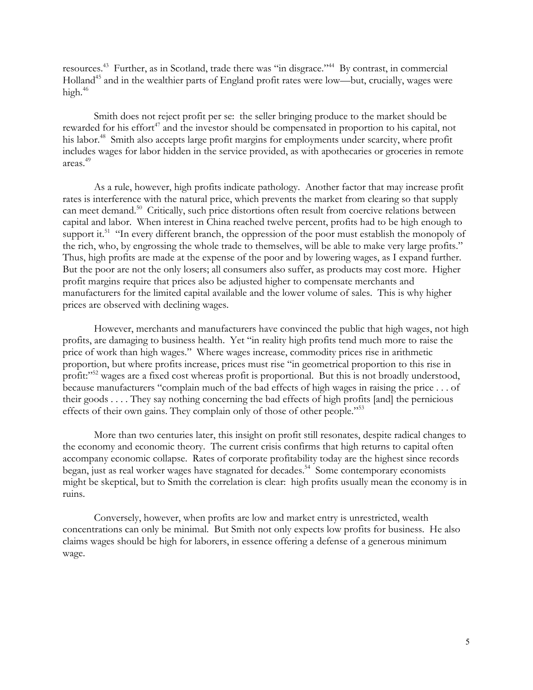resources.43 Further, as in Scotland, trade there was "in disgrace."44 By contrast, in commercial Holland<sup>45</sup> and in the wealthier parts of England profit rates were low—but, crucially, wages were high.46

Smith does not reject profit per se: the seller bringing produce to the market should be rewarded for his effort<sup>47</sup> and the investor should be compensated in proportion to his capital, not his labor.<sup>48</sup> Smith also accepts large profit margins for employments under scarcity, where profit includes wages for labor hidden in the service provided, as with apothecaries or groceries in remote areas.49

As a rule, however, high profits indicate pathology. Another factor that may increase profit rates is interference with the natural price, which prevents the market from clearing so that supply can meet demand.<sup>50</sup> Critically, such price distortions often result from coercive relations between capital and labor. When interest in China reached twelve percent, profits had to be high enough to support it.<sup>51</sup> "In every different branch, the oppression of the poor must establish the monopoly of the rich, who, by engrossing the whole trade to themselves, will be able to make very large profits." Thus, high profits are made at the expense of the poor and by lowering wages, as I expand further. But the poor are not the only losers; all consumers also suffer, as products may cost more. Higher profit margins require that prices also be adjusted higher to compensate merchants and manufacturers for the limited capital available and the lower volume of sales. This is why higher prices are observed with declining wages.

However, merchants and manufacturers have convinced the public that high wages, not high profits, are damaging to business health. Yet "in reality high profits tend much more to raise the price of work than high wages." Where wages increase, commodity prices rise in arithmetic proportion, but where profits increase, prices must rise "in geometrical proportion to this rise in profit:"<sup>52</sup> wages are a fixed cost whereas profit is proportional. But this is not broadly understood, because manufacturers "complain much of the bad effects of high wages in raising the price . . . of their goods . . . . They say nothing concerning the bad effects of high profits [and] the pernicious effects of their own gains. They complain only of those of other people."<sup>53</sup>

More than two centuries later, this insight on profit still resonates, despite radical changes to the economy and economic theory. The current crisis confirms that high returns to capital often accompany economic collapse. Rates of corporate profitability today are the highest since records began, just as real worker wages have stagnated for decades.<sup>54</sup> Some contemporary economists might be skeptical, but to Smith the correlation is clear: high profits usually mean the economy is in ruins.

Conversely, however, when profits are low and market entry is unrestricted, wealth concentrations can only be minimal. But Smith not only expects low profits for business. He also claims wages should be high for laborers, in essence offering a defense of a generous minimum wage.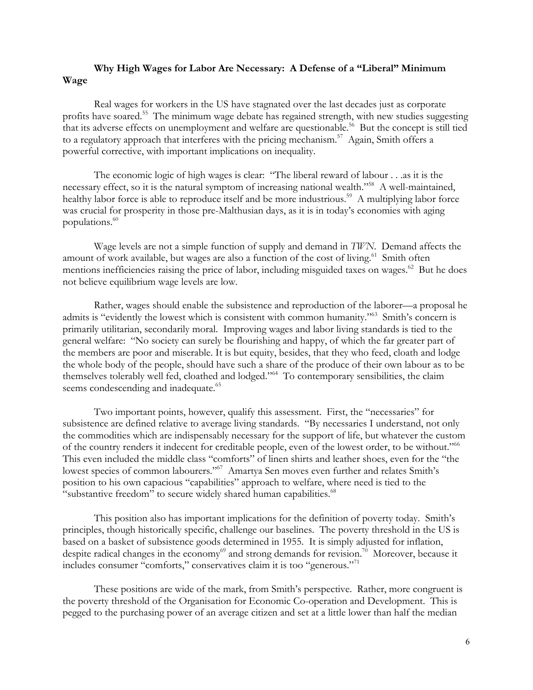# **Why High Wages for Labor Are Necessary: A Defense of a "Liberal" Minimum Wage**

Real wages for workers in the US have stagnated over the last decades just as corporate profits have soared.55 The minimum wage debate has regained strength, with new studies suggesting that its adverse effects on unemployment and welfare are questionable.<sup>56</sup> But the concept is still tied to a regulatory approach that interferes with the pricing mechanism.<sup>57</sup> Again, Smith offers a powerful corrective, with important implications on inequality.

The economic logic of high wages is clear: "The liberal reward of labour . . .as it is the necessary effect, so it is the natural symptom of increasing national wealth."<sup>58</sup> A well-maintained, healthy labor force is able to reproduce itself and be more industrious.<sup>59</sup> A multiplying labor force was crucial for prosperity in those pre-Malthusian days, as it is in today's economies with aging populations. $60$ 

Wage levels are not a simple function of supply and demand in *TWN*. Demand affects the amount of work available, but wages are also a function of the cost of living.<sup>61</sup> Smith often mentions inefficiencies raising the price of labor, including misguided taxes on wages.<sup>62</sup> But he does not believe equilibrium wage levels are low.

Rather, wages should enable the subsistence and reproduction of the laborer—a proposal he admits is "evidently the lowest which is consistent with common humanity."63 Smith's concern is primarily utilitarian, secondarily moral. Improving wages and labor living standards is tied to the general welfare: "No society can surely be flourishing and happy, of which the far greater part of the members are poor and miserable. It is but equity, besides, that they who feed, cloath and lodge the whole body of the people, should have such a share of the produce of their own labour as to be themselves tolerably well fed, cloathed and lodged."64 To contemporary sensibilities, the claim seems condescending and inadequate.<sup>65</sup>

Two important points, however, qualify this assessment. First, the "necessaries" for subsistence are defined relative to average living standards. "By necessaries I understand, not only the commodities which are indispensably necessary for the support of life, but whatever the custom of the country renders it indecent for creditable people, even of the lowest order, to be without."66 This even included the middle class "comforts" of linen shirts and leather shoes, even for the "the lowest species of common labourers."<sup>67</sup> Amartya Sen moves even further and relates Smith's position to his own capacious "capabilities" approach to welfare, where need is tied to the "substantive freedom" to secure widely shared human capabilities.<sup>68</sup>

This position also has important implications for the definition of poverty today. Smith's principles, though historically specific, challenge our baselines. The poverty threshold in the US is based on a basket of subsistence goods determined in 1955. It is simply adjusted for inflation, despite radical changes in the economy<sup>69</sup> and strong demands for revision.<sup>70</sup> Moreover, because it includes consumer "comforts," conservatives claim it is too "generous."71

These positions are wide of the mark, from Smith's perspective. Rather, more congruent is the poverty threshold of the Organisation for Economic Co-operation and Development. This is pegged to the purchasing power of an average citizen and set at a little lower than half the median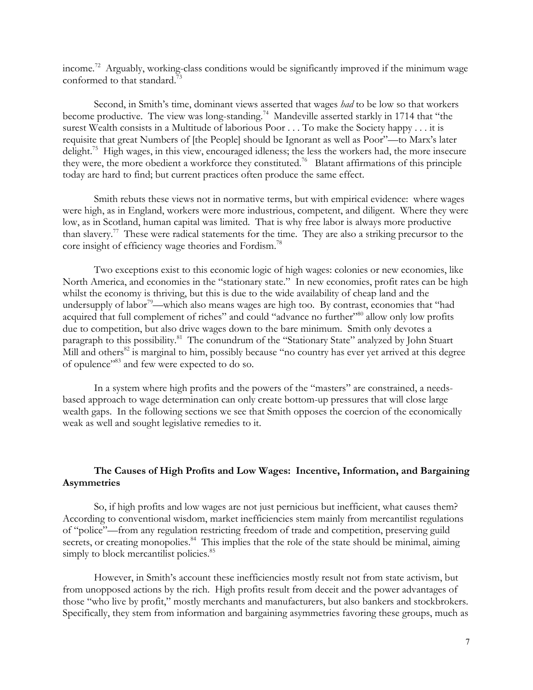income.72 Arguably, working-class conditions would be significantly improved if the minimum wage conformed to that standard.<sup>73</sup>

Second, in Smith's time, dominant views asserted that wages *had* to be low so that workers become productive. The view was long-standing.<sup>74</sup> Mandeville asserted starkly in 1714 that "the surest Wealth consists in a Multitude of laborious Poor . . . To make the Society happy . . . it is requisite that great Numbers of [the People] should be Ignorant as well as Poor"—to Marx's later delight.<sup>75</sup> High wages, in this view, encouraged idleness; the less the workers had, the more insecure they were, the more obedient a workforce they constituted.76 Blatant affirmations of this principle today are hard to find; but current practices often produce the same effect.

Smith rebuts these views not in normative terms, but with empirical evidence: where wages were high, as in England, workers were more industrious, competent, and diligent. Where they were low, as in Scotland, human capital was limited. That is why free labor is always more productive than slavery.77These were radical statements for the time. They are also a striking precursor to the core insight of efficiency wage theories and Fordism.78

Two exceptions exist to this economic logic of high wages: colonies or new economies, like North America, and economies in the "stationary state." In new economies, profit rates can be high whilst the economy is thriving, but this is due to the wide availability of cheap land and the undersupply of labor<sup>79</sup>—which also means wages are high too. By contrast, economies that "had acquired that full complement of riches" and could "advance no further"<sup>80</sup> allow only low profits due to competition, but also drive wages down to the bare minimum. Smith only devotes a paragraph to this possibility.<sup>81</sup> The conundrum of the "Stationary State" analyzed by John Stuart Mill and others<sup>82</sup> is marginal to him, possibly because "no country has ever yet arrived at this degree of opulence"83 and few were expected to do so.

In a system where high profits and the powers of the "masters" are constrained, a needsbased approach to wage determination can only create bottom-up pressures that will close large wealth gaps. In the following sections we see that Smith opposes the coercion of the economically weak as well and sought legislative remedies to it.

# **The Causes of High Profits and Low Wages: Incentive, Information, and Bargaining Asymmetries**

So, if high profits and low wages are not just pernicious but inefficient, what causes them? According to conventional wisdom, market inefficiencies stem mainly from mercantilist regulations of "police"—from any regulation restricting freedom of trade and competition, preserving guild secrets, or creating monopolies.<sup>84</sup> This implies that the role of the state should be minimal, aiming simply to block mercantilist policies.<sup>85</sup>

However, in Smith's account these inefficiencies mostly result not from state activism, but from unopposed actions by the rich. High profits result from deceit and the power advantages of those "who live by profit," mostly merchants and manufacturers, but also bankers and stockbrokers. Specifically, they stem from information and bargaining asymmetries favoring these groups, much as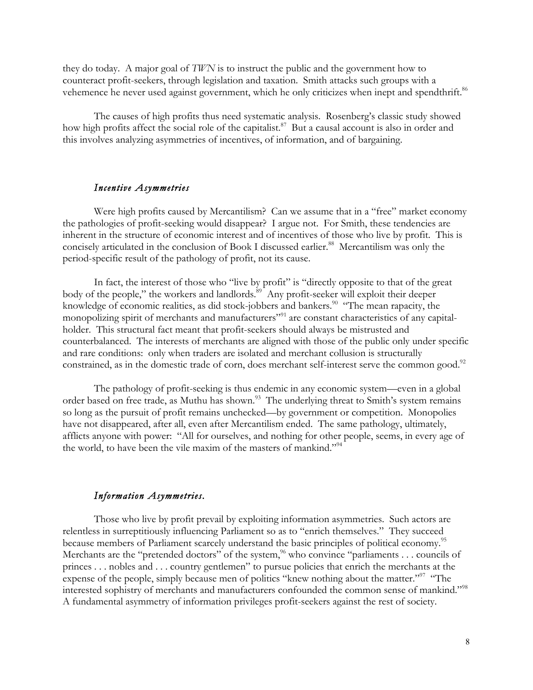they do today. A major goal of *TWN* is to instruct the public and the government how to counteract profit-seekers, through legislation and taxation. Smith attacks such groups with a vehemence he never used against government, which he only criticizes when inept and spendthrift.<sup>86</sup>

The causes of high profits thus need systematic analysis. Rosenberg's classic study showed how high profits affect the social role of the capitalist.<sup>87</sup> But a causal account is also in order and this involves analyzing asymmetries of incentives, of information, and of bargaining.

### *Incentive Asymmetries*

Were high profits caused by Mercantilism? Can we assume that in a "free" market economy the pathologies of profit-seeking would disappear? I argue not. For Smith, these tendencies are inherent in the structure of economic interest and of incentives of those who live by profit. This is concisely articulated in the conclusion of Book I discussed earlier.<sup>88</sup> Mercantilism was only the period-specific result of the pathology of profit, not its cause.

In fact, the interest of those who "live by profit" is "directly opposite to that of the great body of the people," the workers and landlords.<sup>89</sup> Any profit-seeker will exploit their deeper knowledge of economic realities, as did stock-jobbers and bankers.<sup>90</sup> "The mean rapacity, the monopolizing spirit of merchants and manufacturers"<sup>91</sup> are constant characteristics of any capitalholder. This structural fact meant that profit-seekers should always be mistrusted and counterbalanced. The interests of merchants are aligned with those of the public only under specific and rare conditions: only when traders are isolated and merchant collusion is structurally constrained, as in the domestic trade of corn, does merchant self-interest serve the common good.<sup>92</sup>

The pathology of profit-seeking is thus endemic in any economic system—even in a global order based on free trade, as Muthu has shown.<sup>93</sup> The underlying threat to Smith's system remains so long as the pursuit of profit remains unchecked—by government or competition. Monopolies have not disappeared, after all, even after Mercantilism ended. The same pathology, ultimately, afflicts anyone with power: "All for ourselves, and nothing for other people, seems, in every age of the world, to have been the vile maxim of the masters of mankind."<sup>94</sup>

### *Information Asymmetries.*

Those who live by profit prevail by exploiting information asymmetries. Such actors are relentless in surreptitiously influencing Parliament so as to "enrich themselves." They succeed because members of Parliament scarcely understand the basic principles of political economy.<sup>95</sup> Merchants are the "pretended doctors" of the system,  $96$  who convince "parliaments . . . councils of princes . . . nobles and . . . country gentlemen" to pursue policies that enrich the merchants at the expense of the people, simply because men of politics "knew nothing about the matter."<sup>97</sup> "The interested sophistry of merchants and manufacturers confounded the common sense of mankind."<sup>98</sup> A fundamental asymmetry of information privileges profit-seekers against the rest of society.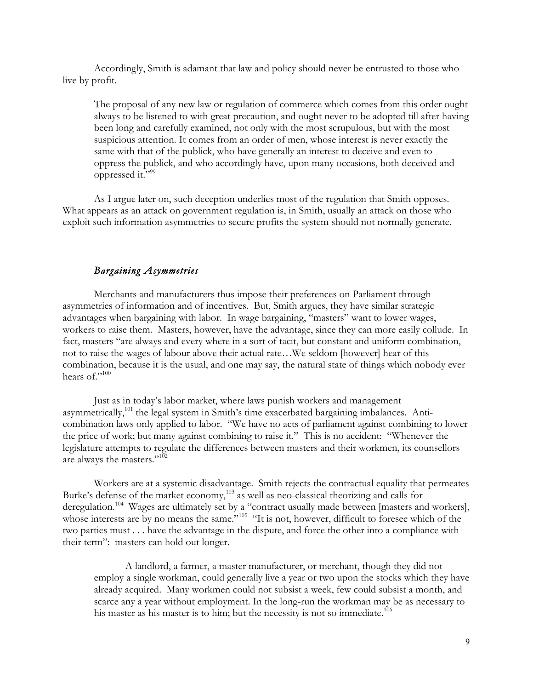Accordingly, Smith is adamant that law and policy should never be entrusted to those who live by profit.

The proposal of any new law or regulation of commerce which comes from this order ought always to be listened to with great precaution, and ought never to be adopted till after having been long and carefully examined, not only with the most scrupulous, but with the most suspicious attention. It comes from an order of men, whose interest is never exactly the same with that of the publick, who have generally an interest to deceive and even to oppress the publick, and who accordingly have, upon many occasions, both deceived and oppressed it."99

As I argue later on, such deception underlies most of the regulation that Smith opposes. What appears as an attack on government regulation is, in Smith, usually an attack on those who exploit such information asymmetries to secure profits the system should not normally generate.

## *Bargaining Asymmetries*

Merchants and manufacturers thus impose their preferences on Parliament through asymmetries of information and of incentives. But, Smith argues, they have similar strategic advantages when bargaining with labor. In wage bargaining, "masters" want to lower wages, workers to raise them. Masters, however, have the advantage, since they can more easily collude. In fact, masters "are always and every where in a sort of tacit, but constant and uniform combination, not to raise the wages of labour above their actual rate…We seldom [however] hear of this combination, because it is the usual, and one may say, the natural state of things which nobody ever hears of."100

Just as in today's labor market, where laws punish workers and management asymmetrically,<sup>101</sup> the legal system in Smith's time exacerbated bargaining imbalances. Anticombination laws only applied to labor. "We have no acts of parliament against combining to lower the price of work; but many against combining to raise it." This is no accident: "Whenever the legislature attempts to regulate the differences between masters and their workmen, its counsellors are always the masters."<sup>102</sup>

Workers are at a systemic disadvantage. Smith rejects the contractual equality that permeates Burke's defense of the market economy,<sup>103</sup> as well as neo-classical theorizing and calls for deregulation.<sup>104</sup> Wages are ultimately set by a "contract usually made between [masters and workers], whose interests are by no means the same.<sup>"105</sup> "It is not, however, difficult to foresee which of the two parties must . . . have the advantage in the dispute, and force the other into a compliance with their term": masters can hold out longer.

A landlord, a farmer, a master manufacturer, or merchant, though they did not employ a single workman, could generally live a year or two upon the stocks which they have already acquired. Many workmen could not subsist a week, few could subsist a month, and scarce any a year without employment. In the long-run the workman may be as necessary to his master as his master is to him; but the necessity is not so immediate.<sup>106</sup>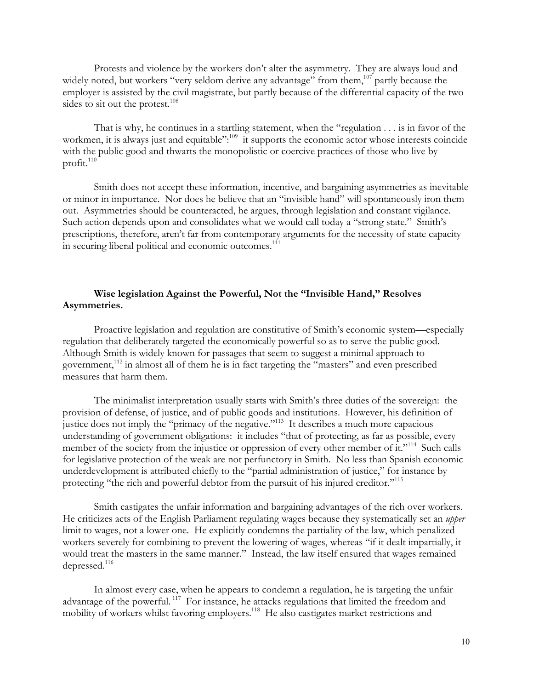Protests and violence by the workers don't alter the asymmetry. They are always loud and widely noted, but workers "very seldom derive any advantage" from them,<sup>107</sup> partly because the employer is assisted by the civil magistrate, but partly because of the differential capacity of the two sides to sit out the protest.<sup>108</sup>

That is why, he continues in a startling statement, when the "regulation . . . is in favor of the workmen, it is always just and equitable":<sup>109</sup> it supports the economic actor whose interests coincide with the public good and thwarts the monopolistic or coercive practices of those who live by profit.<sup>110</sup>

Smith does not accept these information, incentive, and bargaining asymmetries as inevitable or minor in importance. Nor does he believe that an "invisible hand" will spontaneously iron them out. Asymmetries should be counteracted, he argues, through legislation and constant vigilance. Such action depends upon and consolidates what we would call today a "strong state." Smith's prescriptions, therefore, aren't far from contemporary arguments for the necessity of state capacity in securing liberal political and economic outcomes.<sup>111</sup>

## **Wise legislation Against the Powerful, Not the "Invisible Hand," Resolves Asymmetries.**

Proactive legislation and regulation are constitutive of Smith's economic system—especially regulation that deliberately targeted the economically powerful so as to serve the public good. Although Smith is widely known for passages that seem to suggest a minimal approach to government,<sup>112</sup> in almost all of them he is in fact targeting the "masters" and even prescribed measures that harm them.

The minimalist interpretation usually starts with Smith's three duties of the sovereign: the provision of defense, of justice, and of public goods and institutions. However, his definition of justice does not imply the "primacy of the negative."113 It describes a much more capacious understanding of government obligations: it includes "that of protecting, as far as possible, every member of the society from the injustice or oppression of every other member of it."<sup>114</sup> Such calls for legislative protection of the weak are not perfunctory in Smith. No less than Spanish economic underdevelopment is attributed chiefly to the "partial administration of justice," for instance by protecting "the rich and powerful debtor from the pursuit of his injured creditor."<sup>115</sup>

Smith castigates the unfair information and bargaining advantages of the rich over workers. He criticizes acts of the English Parliament regulating wages because they systematically set an *upper* limit to wages, not a lower one. He explicitly condemns the partiality of the law, which penalized workers severely for combining to prevent the lowering of wages, whereas "if it dealt impartially, it would treat the masters in the same manner." Instead, the law itself ensured that wages remained depressed.<sup>116</sup>

In almost every case, when he appears to condemn a regulation, he is targeting the unfair advantage of the powerful. 117 For instance, he attacks regulations that limited the freedom and mobility of workers whilst favoring employers.<sup>118</sup> He also castigates market restrictions and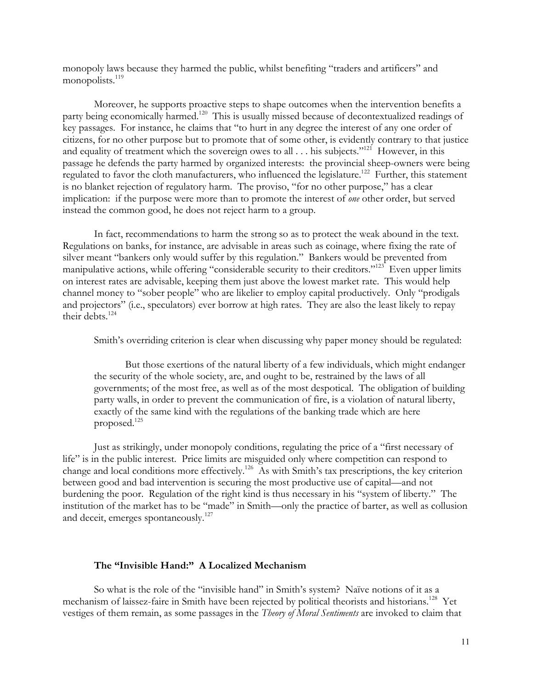monopoly laws because they harmed the public, whilst benefiting "traders and artificers" and monopolists.<sup>119</sup>

Moreover, he supports proactive steps to shape outcomes when the intervention benefits a party being economically harmed.<sup>120</sup> This is usually missed because of decontextualized readings of key passages. For instance, he claims that "to hurt in any degree the interest of any one order of citizens, for no other purpose but to promote that of some other, is evidently contrary to that justice and equality of treatment which the sovereign owes to all . . . his subjects."<sup>121</sup> However, in this passage he defends the party harmed by organized interests: the provincial sheep-owners were being regulated to favor the cloth manufacturers, who influenced the legislature.<sup>122</sup> Further, this statement is no blanket rejection of regulatory harm. The proviso, "for no other purpose," has a clear implication: if the purpose were more than to promote the interest of *one* other order, but served instead the common good, he does not reject harm to a group.

In fact, recommendations to harm the strong so as to protect the weak abound in the text. Regulations on banks, for instance, are advisable in areas such as coinage, where fixing the rate of silver meant "bankers only would suffer by this regulation." Bankers would be prevented from manipulative actions, while offering "considerable security to their creditors."<sup>123</sup> Even upper limits on interest rates are advisable, keeping them just above the lowest market rate. This would help channel money to "sober people" who are likelier to employ capital productively. Only "prodigals and projectors" (i.e., speculators) ever borrow at high rates. They are also the least likely to repay their debts. $124$ 

Smith's overriding criterion is clear when discussing why paper money should be regulated:

But those exertions of the natural liberty of a few individuals, which might endanger the security of the whole society, are, and ought to be, restrained by the laws of all governments; of the most free, as well as of the most despotical. The obligation of building party walls, in order to prevent the communication of fire, is a violation of natural liberty, exactly of the same kind with the regulations of the banking trade which are here proposed.125

Just as strikingly, under monopoly conditions, regulating the price of a "first necessary of life" is in the public interest. Price limits are misguided only where competition can respond to change and local conditions more effectively.126 As with Smith's tax prescriptions, the key criterion between good and bad intervention is securing the most productive use of capital—and not burdening the poor. Regulation of the right kind is thus necessary in his "system of liberty." The institution of the market has to be "made" in Smith—only the practice of barter, as well as collusion and deceit, emerges spontaneously.<sup>127</sup>

### **The "Invisible Hand:" A Localized Mechanism**

So what is the role of the "invisible hand" in Smith's system? Naïve notions of it as a mechanism of laissez-faire in Smith have been rejected by political theorists and historians.128 Yet vestiges of them remain, as some passages in the *Theory of Moral Sentiments* are invoked to claim that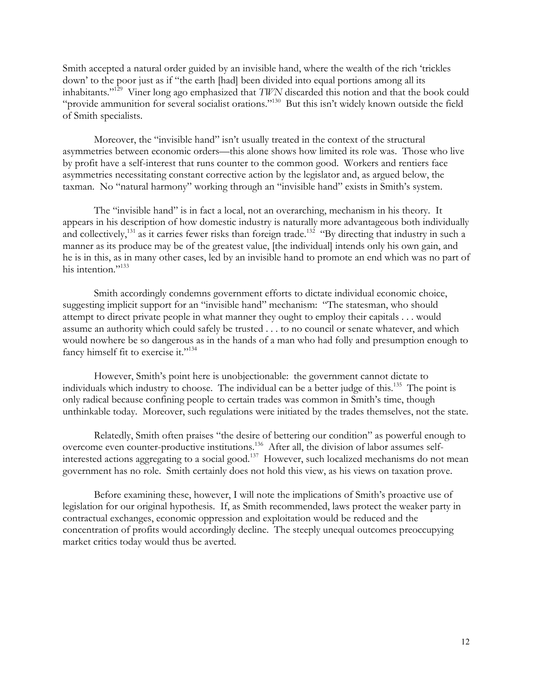Smith accepted a natural order guided by an invisible hand, where the wealth of the rich 'trickles down' to the poor just as if "the earth [had] been divided into equal portions among all its inhabitants."129 Viner long ago emphasized that *TWN* discarded this notion and that the book could "provide ammunition for several socialist orations."130 But this isn't widely known outside the field of Smith specialists.

Moreover, the "invisible hand" isn't usually treated in the context of the structural asymmetries between economic orders—this alone shows how limited its role was. Those who live by profit have a self-interest that runs counter to the common good. Workers and rentiers face asymmetries necessitating constant corrective action by the legislator and, as argued below, the taxman. No "natural harmony" working through an "invisible hand" exists in Smith's system.

The "invisible hand" is in fact a local, not an overarching, mechanism in his theory. It appears in his description of how domestic industry is naturally more advantageous both individually and collectively,<sup>131</sup> as it carries fewer risks than foreign trade.<sup>132</sup> "By directing that industry in such a manner as its produce may be of the greatest value, [the individual] intends only his own gain, and he is in this, as in many other cases, led by an invisible hand to promote an end which was no part of his intention."<sup>133</sup>

Smith accordingly condemns government efforts to dictate individual economic choice, suggesting implicit support for an "invisible hand" mechanism: "The statesman, who should attempt to direct private people in what manner they ought to employ their capitals . . . would assume an authority which could safely be trusted . . . to no council or senate whatever, and which would nowhere be so dangerous as in the hands of a man who had folly and presumption enough to fancy himself fit to exercise it."<sup>134</sup>

However, Smith's point here is unobjectionable: the government cannot dictate to individuals which industry to choose. The individual can be a better judge of this.<sup>135</sup> The point is only radical because confining people to certain trades was common in Smith's time, though unthinkable today. Moreover, such regulations were initiated by the trades themselves, not the state.

Relatedly, Smith often praises "the desire of bettering our condition" as powerful enough to overcome even counter-productive institutions.136 After all, the division of labor assumes selfinterested actions aggregating to a social good.<sup>137</sup> However, such localized mechanisms do not mean government has no role. Smith certainly does not hold this view, as his views on taxation prove.

Before examining these, however, I will note the implications of Smith's proactive use of legislation for our original hypothesis. If, as Smith recommended, laws protect the weaker party in contractual exchanges, economic oppression and exploitation would be reduced and the concentration of profits would accordingly decline. The steeply unequal outcomes preoccupying market critics today would thus be averted.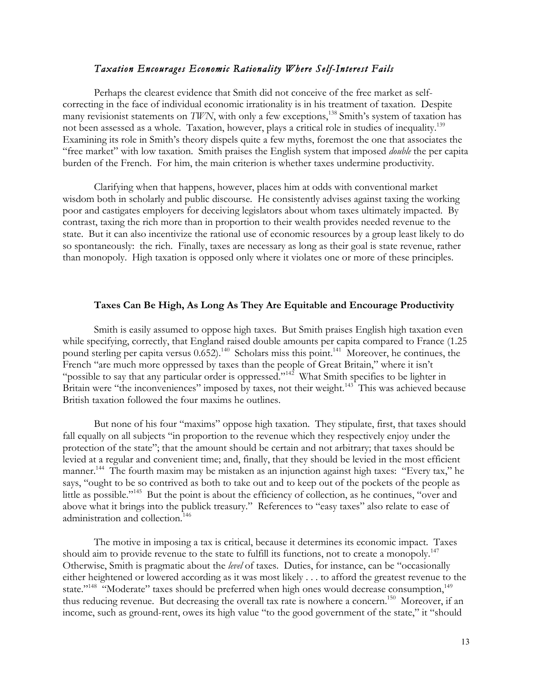### *Taxation Encourages Economic Rationality Where Self-Interest Fails*

Perhaps the clearest evidence that Smith did not conceive of the free market as selfcorrecting in the face of individual economic irrationality is in his treatment of taxation. Despite many revisionist statements on *TWN*, with only a few exceptions,<sup>138</sup> Smith's system of taxation has not been assessed as a whole. Taxation, however, plays a critical role in studies of inequality.<sup>139</sup> Examining its role in Smith's theory dispels quite a few myths, foremost the one that associates the "free market" with low taxation. Smith praises the English system that imposed *double* the per capita burden of the French. For him, the main criterion is whether taxes undermine productivity.

Clarifying when that happens, however, places him at odds with conventional market wisdom both in scholarly and public discourse. He consistently advises against taxing the working poor and castigates employers for deceiving legislators about whom taxes ultimately impacted. By contrast, taxing the rich more than in proportion to their wealth provides needed revenue to the state. But it can also incentivize the rational use of economic resources by a group least likely to do so spontaneously: the rich. Finally, taxes are necessary as long as their goal is state revenue, rather than monopoly. High taxation is opposed only where it violates one or more of these principles.

#### **Taxes Can Be High, As Long As They Are Equitable and Encourage Productivity**

Smith is easily assumed to oppose high taxes. But Smith praises English high taxation even while specifying, correctly, that England raised double amounts per capita compared to France (1.25 pound sterling per capita versus  $0.652$ .<sup>140</sup> Scholars miss this point.<sup>141</sup> Moreover, he continues, the French "are much more oppressed by taxes than the people of Great Britain," where it isn't "possible to say that any particular order is oppressed."142 What Smith specifies to be lighter in Britain were "the inconveniences" imposed by taxes, not their weight.<sup>143</sup> This was achieved because British taxation followed the four maxims he outlines.

But none of his four "maxims" oppose high taxation. They stipulate, first, that taxes should fall equally on all subjects "in proportion to the revenue which they respectively enjoy under the protection of the state"; that the amount should be certain and not arbitrary; that taxes should be levied at a regular and convenient time; and, finally, that they should be levied in the most efficient manner.<sup>144</sup> The fourth maxim may be mistaken as an injunction against high taxes: "Every tax," he says, "ought to be so contrived as both to take out and to keep out of the pockets of the people as little as possible."<sup>145</sup> But the point is about the efficiency of collection, as he continues, "over and above what it brings into the publick treasury." References to "easy taxes" also relate to ease of administration and collection.<sup>146</sup>

The motive in imposing a tax is critical, because it determines its economic impact. Taxes should aim to provide revenue to the state to fulfill its functions, not to create a monopoly.<sup>147</sup> Otherwise, Smith is pragmatic about the *level* of taxes. Duties, for instance, can be "occasionally either heightened or lowered according as it was most likely . . . to afford the greatest revenue to the state."<sup>148</sup> "Moderate" taxes should be preferred when high ones would decrease consumption,<sup>149</sup> thus reducing revenue. But decreasing the overall tax rate is nowhere a concern.<sup>150</sup> Moreover, if an income, such as ground-rent, owes its high value "to the good government of the state," it "should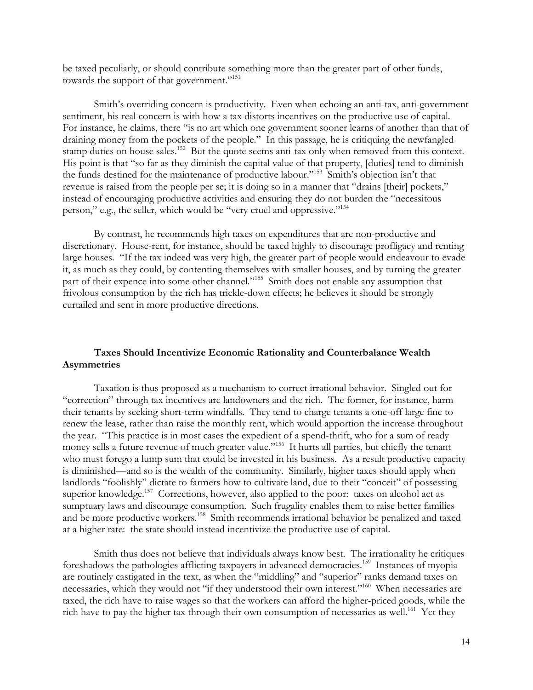be taxed peculiarly, or should contribute something more than the greater part of other funds, towards the support of that government."<sup>151</sup>

Smith's overriding concern is productivity. Even when echoing an anti-tax, anti-government sentiment, his real concern is with how a tax distorts incentives on the productive use of capital. For instance, he claims, there "is no art which one government sooner learns of another than that of draining money from the pockets of the people." In this passage, he is critiquing the newfangled stamp duties on house sales.<sup>152</sup> But the quote seems anti-tax only when removed from this context. His point is that "so far as they diminish the capital value of that property, [duties] tend to diminish the funds destined for the maintenance of productive labour."153 Smith's objection isn't that revenue is raised from the people per se; it is doing so in a manner that "drains [their] pockets," instead of encouraging productive activities and ensuring they do not burden the "necessitous person," e.g., the seller, which would be "very cruel and oppressive."<sup>154</sup>

By contrast, he recommends high taxes on expenditures that are non-productive and discretionary. House-rent, for instance, should be taxed highly to discourage profligacy and renting large houses. "If the tax indeed was very high, the greater part of people would endeavour to evade it, as much as they could, by contenting themselves with smaller houses, and by turning the greater part of their expence into some other channel."<sup>155</sup> Smith does not enable any assumption that frivolous consumption by the rich has trickle-down effects; he believes it should be strongly curtailed and sent in more productive directions.

## **Taxes Should Incentivize Economic Rationality and Counterbalance Wealth Asymmetries**

Taxation is thus proposed as a mechanism to correct irrational behavior. Singled out for "correction" through tax incentives are landowners and the rich. The former, for instance, harm their tenants by seeking short-term windfalls. They tend to charge tenants a one-off large fine to renew the lease, rather than raise the monthly rent, which would apportion the increase throughout the year. "This practice is in most cases the expedient of a spend-thrift, who for a sum of ready money sells a future revenue of much greater value."<sup>156</sup> It hurts all parties, but chiefly the tenant who must forego a lump sum that could be invested in his business. As a result productive capacity is diminished—and so is the wealth of the community. Similarly, higher taxes should apply when landlords "foolishly" dictate to farmers how to cultivate land, due to their "conceit" of possessing superior knowledge.<sup>157</sup> Corrections, however, also applied to the poor: taxes on alcohol act as sumptuary laws and discourage consumption. Such frugality enables them to raise better families and be more productive workers.<sup>158</sup> Smith recommends irrational behavior be penalized and taxed at a higher rate: the state should instead incentivize the productive use of capital.

Smith thus does not believe that individuals always know best. The irrationality he critiques foreshadows the pathologies afflicting taxpayers in advanced democracies.159 Instances of myopia are routinely castigated in the text, as when the "middling" and "superior" ranks demand taxes on necessaries, which they would not "if they understood their own interest."160 When necessaries are taxed, the rich have to raise wages so that the workers can afford the higher-priced goods, while the rich have to pay the higher tax through their own consumption of necessaries as well.<sup>161</sup> Yet they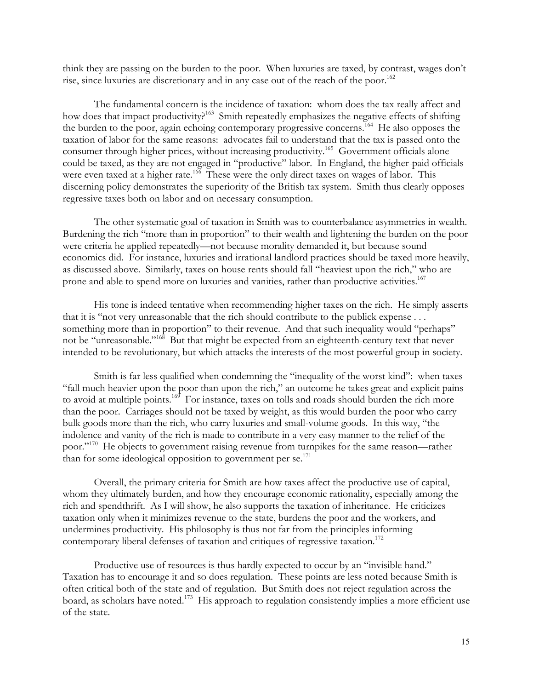think they are passing on the burden to the poor. When luxuries are taxed, by contrast, wages don't rise, since luxuries are discretionary and in any case out of the reach of the poor.<sup>162</sup>

The fundamental concern is the incidence of taxation: whom does the tax really affect and how does that impact productivity?<sup>163</sup> Smith repeatedly emphasizes the negative effects of shifting the burden to the poor, again echoing contemporary progressive concerns.<sup>164</sup> He also opposes the taxation of labor for the same reasons: advocates fail to understand that the tax is passed onto the consumer through higher prices, without increasing productivity.165 Government officials alone could be taxed, as they are not engaged in "productive" labor. In England, the higher-paid officials were even taxed at a higher rate.<sup>166</sup> These were the only direct taxes on wages of labor. This discerning policy demonstrates the superiority of the British tax system. Smith thus clearly opposes regressive taxes both on labor and on necessary consumption.

The other systematic goal of taxation in Smith was to counterbalance asymmetries in wealth. Burdening the rich "more than in proportion" to their wealth and lightening the burden on the poor were criteria he applied repeatedly—not because morality demanded it, but because sound economics did. For instance, luxuries and irrational landlord practices should be taxed more heavily, as discussed above. Similarly, taxes on house rents should fall "heaviest upon the rich," who are prone and able to spend more on luxuries and vanities, rather than productive activities.<sup>167</sup>

His tone is indeed tentative when recommending higher taxes on the rich. He simply asserts that it is "not very unreasonable that the rich should contribute to the publick expense . . . something more than in proportion" to their revenue. And that such inequality would "perhaps" not be "unreasonable."168 But that might be expected from an eighteenth-century text that never intended to be revolutionary, but which attacks the interests of the most powerful group in society.

Smith is far less qualified when condemning the "inequality of the worst kind": when taxes "fall much heavier upon the poor than upon the rich," an outcome he takes great and explicit pains to avoid at multiple points.<sup>169</sup> For instance, taxes on tolls and roads should burden the rich more than the poor. Carriages should not be taxed by weight, as this would burden the poor who carry bulk goods more than the rich, who carry luxuries and small-volume goods. In this way, "the indolence and vanity of the rich is made to contribute in a very easy manner to the relief of the poor."<sup>170</sup> He objects to government raising revenue from turnpikes for the same reason—rather than for some ideological opposition to government per  $se^{171}$ .

Overall, the primary criteria for Smith are how taxes affect the productive use of capital, whom they ultimately burden, and how they encourage economic rationality, especially among the rich and spendthrift. As I will show, he also supports the taxation of inheritance. He criticizes taxation only when it minimizes revenue to the state, burdens the poor and the workers, and undermines productivity. His philosophy is thus not far from the principles informing contemporary liberal defenses of taxation and critiques of regressive taxation.<sup>172</sup>

Productive use of resources is thus hardly expected to occur by an "invisible hand." Taxation has to encourage it and so does regulation. These points are less noted because Smith is often critical both of the state and of regulation. But Smith does not reject regulation across the board, as scholars have noted.<sup>173</sup> His approach to regulation consistently implies a more efficient use of the state.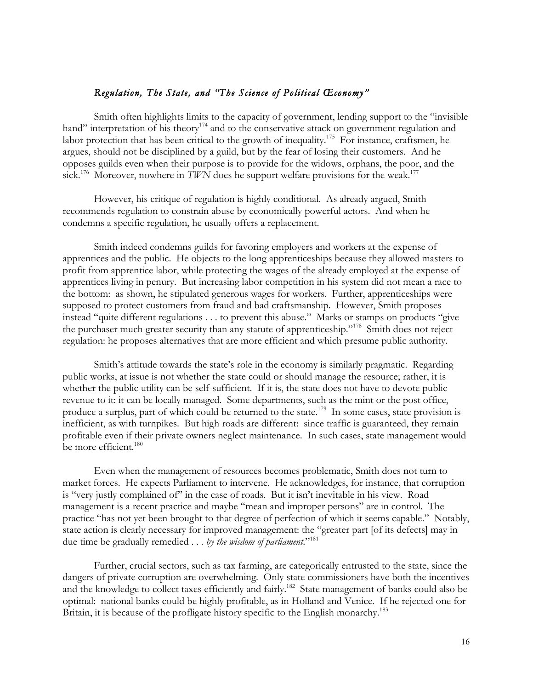## *Regulation, The State, and "The Science of Political Œconomy"*

Smith often highlights limits to the capacity of government, lending support to the "invisible hand" interpretation of his theory<sup>174</sup> and to the conservative attack on government regulation and labor protection that has been critical to the growth of inequality.<sup>175</sup> For instance, craftsmen, he argues, should not be disciplined by a guild, but by the fear of losing their customers. And he opposes guilds even when their purpose is to provide for the widows, orphans, the poor, and the sick.<sup>176</sup> Moreover, nowhere in *TWN* does he support welfare provisions for the weak.<sup>177</sup>

However, his critique of regulation is highly conditional. As already argued, Smith recommends regulation to constrain abuse by economically powerful actors. And when he condemns a specific regulation, he usually offers a replacement.

Smith indeed condemns guilds for favoring employers and workers at the expense of apprentices and the public. He objects to the long apprenticeships because they allowed masters to profit from apprentice labor, while protecting the wages of the already employed at the expense of apprentices living in penury. But increasing labor competition in his system did not mean a race to the bottom: as shown, he stipulated generous wages for workers. Further, apprenticeships were supposed to protect customers from fraud and bad craftsmanship. However, Smith proposes instead "quite different regulations . . . to prevent this abuse." Marks or stamps on products "give the purchaser much greater security than any statute of apprenticeship."178 Smith does not reject regulation: he proposes alternatives that are more efficient and which presume public authority.

Smith's attitude towards the state's role in the economy is similarly pragmatic. Regarding public works, at issue is not whether the state could or should manage the resource; rather, it is whether the public utility can be self-sufficient. If it is, the state does not have to devote public revenue to it: it can be locally managed. Some departments, such as the mint or the post office, produce a surplus, part of which could be returned to the state.<sup>179</sup> In some cases, state provision is inefficient, as with turnpikes. But high roads are different: since traffic is guaranteed, they remain profitable even if their private owners neglect maintenance. In such cases, state management would be more efficient.<sup>180</sup>

Even when the management of resources becomes problematic, Smith does not turn to market forces. He expects Parliament to intervene. He acknowledges, for instance, that corruption is "very justly complained of" in the case of roads. But it isn't inevitable in his view. Road management is a recent practice and maybe "mean and improper persons" are in control. The practice "has not yet been brought to that degree of perfection of which it seems capable." Notably, state action is clearly necessary for improved management: the "greater part [of its defects] may in due time be gradually remedied . . . *by the wisdom of parliament*."181

Further, crucial sectors, such as tax farming, are categorically entrusted to the state, since the dangers of private corruption are overwhelming. Only state commissioners have both the incentives and the knowledge to collect taxes efficiently and fairly.<sup>182</sup> State management of banks could also be optimal: national banks could be highly profitable, as in Holland and Venice. If he rejected one for Britain, it is because of the profligate history specific to the English monarchy.<sup>183</sup>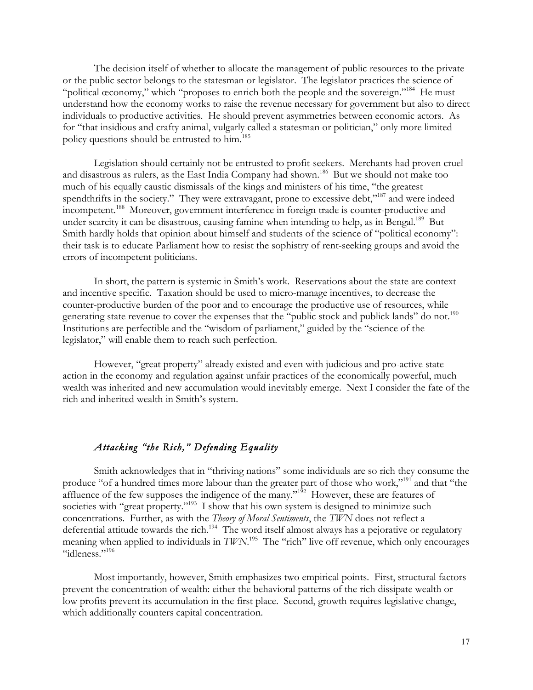The decision itself of whether to allocate the management of public resources to the private or the public sector belongs to the statesman or legislator. The legislator practices the science of "political œconomy," which "proposes to enrich both the people and the sovereign."<sup>184</sup> He must understand how the economy works to raise the revenue necessary for government but also to direct individuals to productive activities. He should prevent asymmetries between economic actors. As for "that insidious and crafty animal, vulgarly called a statesman or politician," only more limited policy questions should be entrusted to him.<sup>185</sup>

Legislation should certainly not be entrusted to profit-seekers. Merchants had proven cruel and disastrous as rulers, as the East India Company had shown.186 But we should not make too much of his equally caustic dismissals of the kings and ministers of his time, "the greatest spendthrifts in the society." They were extravagant, prone to excessive debt,"<sup>187</sup> and were indeed incompetent.<sup>188</sup> Moreover, government interference in foreign trade is counter-productive and under scarcity it can be disastrous, causing famine when intending to help, as in Bengal.<sup>189</sup> But Smith hardly holds that opinion about himself and students of the science of "political economy": their task is to educate Parliament how to resist the sophistry of rent-seeking groups and avoid the errors of incompetent politicians.

In short, the pattern is systemic in Smith's work. Reservations about the state are context and incentive specific. Taxation should be used to micro-manage incentives, to decrease the counter-productive burden of the poor and to encourage the productive use of resources, while generating state revenue to cover the expenses that the "public stock and publick lands" do not.<sup>190</sup> Institutions are perfectible and the "wisdom of parliament," guided by the "science of the legislator," will enable them to reach such perfection.

However, "great property" already existed and even with judicious and pro-active state action in the economy and regulation against unfair practices of the economically powerful, much wealth was inherited and new accumulation would inevitably emerge. Next I consider the fate of the rich and inherited wealth in Smith's system.

# *Attacking "the Rich," Defending Equality*

Smith acknowledges that in "thriving nations" some individuals are so rich they consume the produce "of a hundred times more labour than the greater part of those who work,"191 and that "the affluence of the few supposes the indigence of the many."<sup>192</sup> However, these are features of societies with "great property."<sup>193</sup> I show that his own system is designed to minimize such concentrations. Further, as with the *Theory of Moral Sentiments*, the *TWN* does not reflect a deferential attitude towards the rich.<sup>194</sup> The word itself almost always has a pejorative or regulatory meaning when applied to individuals in  $TWN$ .<sup>195</sup> The "rich" live off revenue, which only encourages "idleness."<sup>196</sup>

Most importantly, however, Smith emphasizes two empirical points. First, structural factors prevent the concentration of wealth: either the behavioral patterns of the rich dissipate wealth or low profits prevent its accumulation in the first place. Second, growth requires legislative change, which additionally counters capital concentration.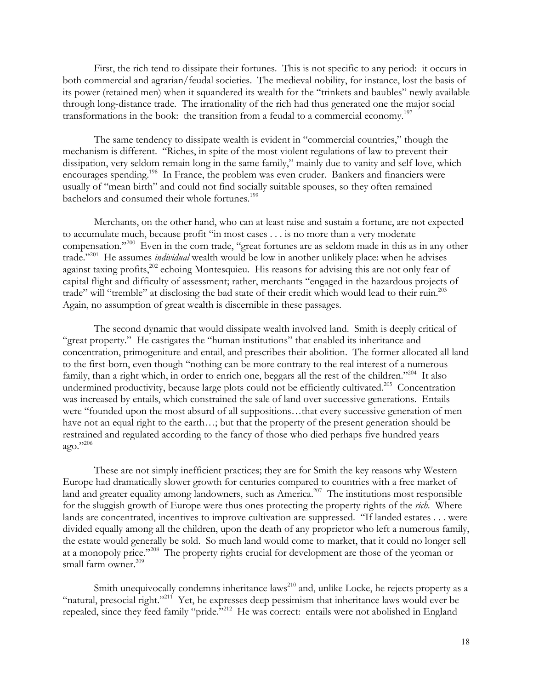First, the rich tend to dissipate their fortunes. This is not specific to any period: it occurs in both commercial and agrarian/feudal societies. The medieval nobility, for instance, lost the basis of its power (retained men) when it squandered its wealth for the "trinkets and baubles" newly available through long-distance trade. The irrationality of the rich had thus generated one the major social transformations in the book: the transition from a feudal to a commercial economy.197

The same tendency to dissipate wealth is evident in "commercial countries," though the mechanism is different. "Riches, in spite of the most violent regulations of law to prevent their dissipation, very seldom remain long in the same family," mainly due to vanity and self-love, which encourages spending.<sup>198</sup> In France, the problem was even cruder. Bankers and financiers were usually of "mean birth" and could not find socially suitable spouses, so they often remained bachelors and consumed their whole fortunes.<sup>199</sup>

Merchants, on the other hand, who can at least raise and sustain a fortune, are not expected to accumulate much, because profit "in most cases . . . is no more than a very moderate compensation."200 Even in the corn trade, "great fortunes are as seldom made in this as in any other trade."201 He assumes *individual* wealth would be low in another unlikely place: when he advises against taxing profits,<sup>202</sup> echoing Montesquieu. His reasons for advising this are not only fear of capital flight and difficulty of assessment; rather, merchants "engaged in the hazardous projects of trade" will "tremble" at disclosing the bad state of their credit which would lead to their ruin.<sup>203</sup> Again, no assumption of great wealth is discernible in these passages.

The second dynamic that would dissipate wealth involved land. Smith is deeply critical of "great property." He castigates the "human institutions" that enabled its inheritance and concentration, primogeniture and entail, and prescribes their abolition. The former allocated all land to the first-born, even though "nothing can be more contrary to the real interest of a numerous family, than a right which, in order to enrich one, beggars all the rest of the children."<sup>204</sup> It also undermined productivity, because large plots could not be efficiently cultivated.<sup>205</sup> Concentration was increased by entails, which constrained the sale of land over successive generations. Entails were "founded upon the most absurd of all suppositions…that every successive generation of men have not an equal right to the earth…; but that the property of the present generation should be restrained and regulated according to the fancy of those who died perhaps five hundred years ago."206

These are not simply inefficient practices; they are for Smith the key reasons why Western Europe had dramatically slower growth for centuries compared to countries with a free market of land and greater equality among landowners, such as America.<sup>207</sup> The institutions most responsible for the sluggish growth of Europe were thus ones protecting the property rights of the *rich*. Where lands are concentrated, incentives to improve cultivation are suppressed. "If landed estates . . . were divided equally among all the children, upon the death of any proprietor who left a numerous family, the estate would generally be sold. So much land would come to market, that it could no longer sell at a monopoly price."208 The property rights crucial for development are those of the yeoman or small farm owner.<sup>209</sup>

Smith unequivocally condemns inheritance laws<sup>210</sup> and, unlike Locke, he rejects property as a "natural, presocial right."<sup>211</sup> Yet, he expresses deep pessimism that inheritance laws would ever be repealed, since they feed family "pride."212 He was correct: entails were not abolished in England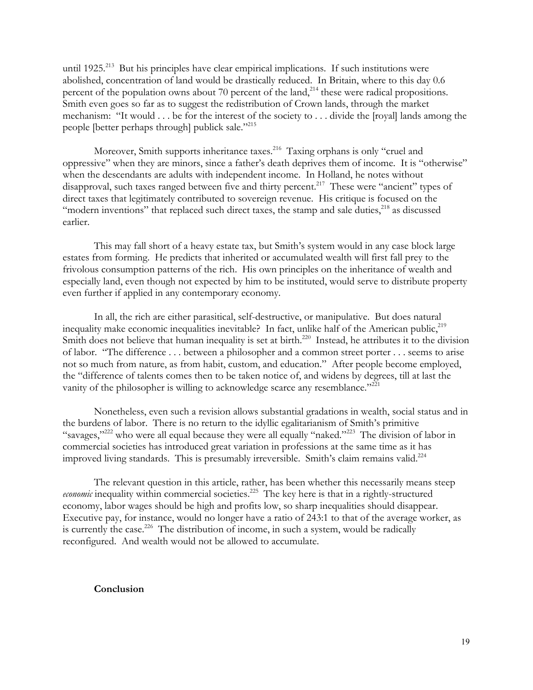until  $1925$ <sup>213</sup> But his principles have clear empirical implications. If such institutions were abolished, concentration of land would be drastically reduced. In Britain, where to this day 0.6 percent of the population owns about 70 percent of the land,<sup>214</sup> these were radical propositions. Smith even goes so far as to suggest the redistribution of Crown lands, through the market mechanism: "It would . . . be for the interest of the society to . . . divide the [royal] lands among the people [better perhaps through] publick sale."215

Moreover, Smith supports inheritance taxes.<sup>216</sup> Taxing orphans is only "cruel and oppressive" when they are minors, since a father's death deprives them of income. It is "otherwise" when the descendants are adults with independent income. In Holland, he notes without disapproval, such taxes ranged between five and thirty percent.<sup>217</sup> These were "ancient" types of direct taxes that legitimately contributed to sovereign revenue. His critique is focused on the "modern inventions" that replaced such direct taxes, the stamp and sale duties,<sup>218</sup> as discussed earlier.

This may fall short of a heavy estate tax, but Smith's system would in any case block large estates from forming. He predicts that inherited or accumulated wealth will first fall prey to the frivolous consumption patterns of the rich. His own principles on the inheritance of wealth and especially land, even though not expected by him to be instituted, would serve to distribute property even further if applied in any contemporary economy.

In all, the rich are either parasitical, self-destructive, or manipulative. But does natural inequality make economic inequalities inevitable? In fact, unlike half of the American public, $^{219}$ Smith does not believe that human inequality is set at birth.<sup>220</sup> Instead, he attributes it to the division of labor. "The difference . . . between a philosopher and a common street porter . . . seems to arise not so much from nature, as from habit, custom, and education." After people become employed, the "difference of talents comes then to be taken notice of, and widens by degrees, till at last the vanity of the philosopher is willing to acknowledge scarce any resemblance."<sup>221</sup>

Nonetheless, even such a revision allows substantial gradations in wealth, social status and in the burdens of labor. There is no return to the idyllic egalitarianism of Smith's primitive "savages,"<sup>222</sup> who were all equal because they were all equally "naked."<sup>223</sup> The division of labor in commercial societies has introduced great variation in professions at the same time as it has improved living standards. This is presumably irreversible. Smith's claim remains valid.<sup>224</sup>

The relevant question in this article, rather, has been whether this necessarily means steep *economic* inequality within commercial societies.<sup>225</sup> The key here is that in a rightly-structured economy, labor wages should be high and profits low, so sharp inequalities should disappear. Executive pay, for instance, would no longer have a ratio of 243:1 to that of the average worker, as is currently the case.<sup>226</sup> The distribution of income, in such a system, would be radically reconfigured. And wealth would not be allowed to accumulate.

## **Conclusion**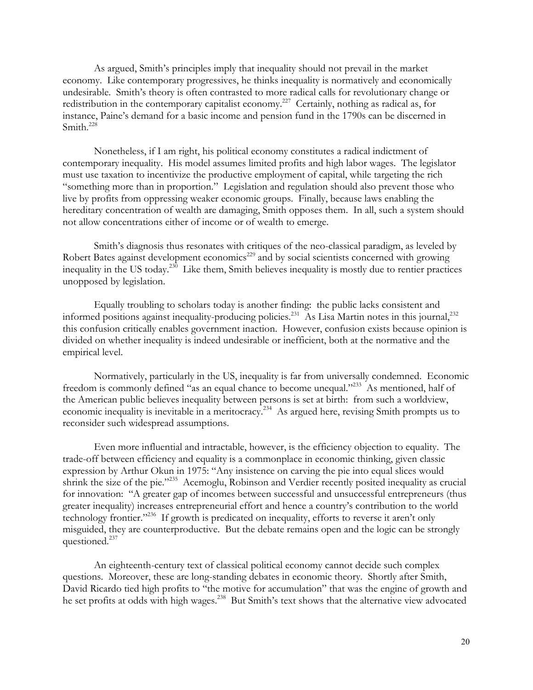As argued, Smith's principles imply that inequality should not prevail in the market economy. Like contemporary progressives, he thinks inequality is normatively and economically undesirable. Smith's theory is often contrasted to more radical calls for revolutionary change or redistribution in the contemporary capitalist economy.<sup>227</sup> Certainly, nothing as radical as, for instance, Paine's demand for a basic income and pension fund in the 1790s can be discerned in Smith.<sup>228</sup>

Nonetheless, if I am right, his political economy constitutes a radical indictment of contemporary inequality. His model assumes limited profits and high labor wages. The legislator must use taxation to incentivize the productive employment of capital, while targeting the rich "something more than in proportion." Legislation and regulation should also prevent those who live by profits from oppressing weaker economic groups. Finally, because laws enabling the hereditary concentration of wealth are damaging, Smith opposes them. In all, such a system should not allow concentrations either of income or of wealth to emerge.

Smith's diagnosis thus resonates with critiques of the neo-classical paradigm, as leveled by Robert Bates against development economics<sup>229</sup> and by social scientists concerned with growing inequality in the US today.230 Like them, Smith believes inequality is mostly due to rentier practices unopposed by legislation.

Equally troubling to scholars today is another finding: the public lacks consistent and informed positions against inequality-producing policies.<sup>231</sup> As Lisa Martin notes in this journal,<sup>232</sup> this confusion critically enables government inaction. However, confusion exists because opinion is divided on whether inequality is indeed undesirable or inefficient, both at the normative and the empirical level.

Normatively, particularly in the US, inequality is far from universally condemned. Economic freedom is commonly defined "as an equal chance to become unequal."<sup>233</sup> As mentioned, half of the American public believes inequality between persons is set at birth: from such a worldview, economic inequality is inevitable in a meritocracy.234 As argued here, revising Smith prompts us to reconsider such widespread assumptions.

Even more influential and intractable, however, is the efficiency objection to equality. The trade-off between efficiency and equality is a commonplace in economic thinking, given classic expression by Arthur Okun in 1975: "Any insistence on carving the pie into equal slices would shrink the size of the pie."235 Acemoglu, Robinson and Verdier recently posited inequality as crucial for innovation: "A greater gap of incomes between successful and unsuccessful entrepreneurs (thus greater inequality) increases entrepreneurial effort and hence a country's contribution to the world technology frontier."<sup>236</sup> If growth is predicated on inequality, efforts to reverse it aren't only misguided, they are counterproductive. But the debate remains open and the logic can be strongly questioned.<sup>237</sup>

An eighteenth-century text of classical political economy cannot decide such complex questions. Moreover, these are long-standing debates in economic theory. Shortly after Smith, David Ricardo tied high profits to "the motive for accumulation" that was the engine of growth and he set profits at odds with high wages.<sup>238</sup> But Smith's text shows that the alternative view advocated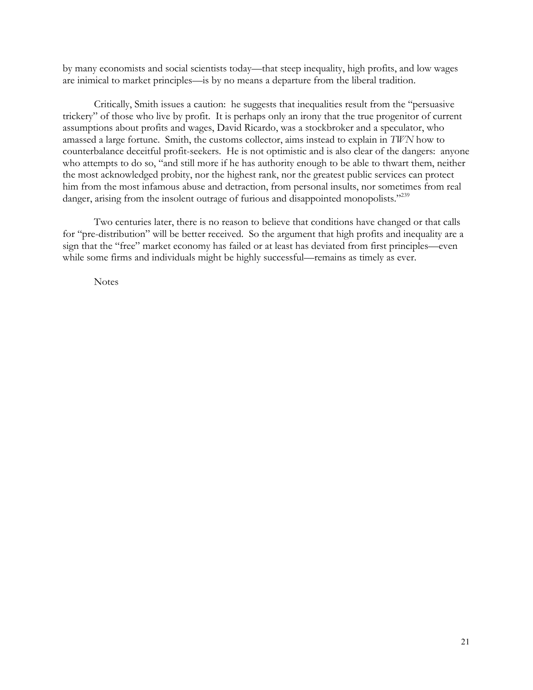by many economists and social scientists today—that steep inequality, high profits, and low wages are inimical to market principles—is by no means a departure from the liberal tradition.

Critically, Smith issues a caution: he suggests that inequalities result from the "persuasive trickery" of those who live by profit. It is perhaps only an irony that the true progenitor of current assumptions about profits and wages, David Ricardo, was a stockbroker and a speculator, who amassed a large fortune. Smith, the customs collector, aims instead to explain in *TWN* how to counterbalance deceitful profit-seekers. He is not optimistic and is also clear of the dangers: anyone who attempts to do so, "and still more if he has authority enough to be able to thwart them, neither the most acknowledged probity, nor the highest rank, nor the greatest public services can protect him from the most infamous abuse and detraction, from personal insults, nor sometimes from real danger, arising from the insolent outrage of furious and disappointed monopolists."<sup>239</sup>

Two centuries later, there is no reason to believe that conditions have changed or that calls for "pre-distribution" will be better received. So the argument that high profits and inequality are a sign that the "free" market economy has failed or at least has deviated from first principles—even while some firms and individuals might be highly successful—remains as timely as ever.

**Notes**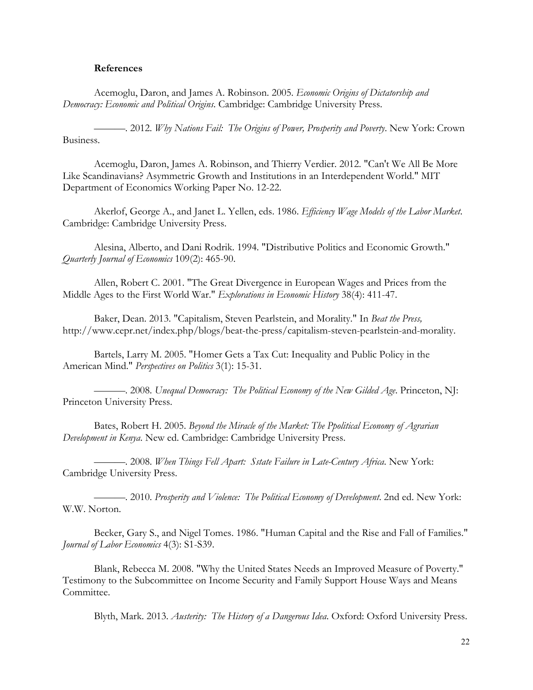### **References**

Acemoglu, Daron, and James A. Robinson. 2005. *Economic Origins of Dictatorship and Democracy: Economic and Political Origins*. Cambridge: Cambridge University Press.

———. 2012. *Why Nations Fail: The Origins of Power, Prosperity and Poverty*. New York: Crown Business.

Acemoglu, Daron, James A. Robinson, and Thierry Verdier. 2012. "Can't We All Be More Like Scandinavians? Asymmetric Growth and Institutions in an Interdependent World." MIT Department of Economics Working Paper No. 12-22.

Akerlof, George A., and Janet L. Yellen, eds. 1986. *Efficiency Wage Models of the Labor Market*. Cambridge: Cambridge University Press.

Alesina, Alberto, and Dani Rodrik. 1994. "Distributive Politics and Economic Growth." *Quarterly Journal of Economics* 109(2): 465-90.

Allen, Robert C. 2001. "The Great Divergence in European Wages and Prices from the Middle Ages to the First World War." *Explorations in Economic History* 38(4): 411-47.

Baker, Dean. 2013. "Capitalism, Steven Pearlstein, and Morality." In *Beat the Press,*  http://www.cepr.net/index.php/blogs/beat-the-press/capitalism-steven-pearlstein-and-morality.

Bartels, Larry M. 2005. "Homer Gets a Tax Cut: Inequality and Public Policy in the American Mind." *Perspectives on Politics* 3(1): 15-31.

———. 2008. *Unequal Democracy: The Political Economy of the New Gilded Age*. Princeton, NJ: Princeton University Press.

Bates, Robert H. 2005. *Beyond the Miracle of the Market: The Ppolitical Economy of Agrarian Development in Kenya*. New ed. Cambridge: Cambridge University Press.

———. 2008. *When Things Fell Apart: Sstate Failure in Late-Century Africa*. New York: Cambridge University Press.

———. 2010. *Prosperity and Violence: The Political Economy of Development*. 2nd ed. New York: W.W. Norton.

Becker, Gary S., and Nigel Tomes. 1986. "Human Capital and the Rise and Fall of Families." *Journal of Labor Economics* 4(3): S1-S39.

Blank, Rebecca M. 2008. "Why the United States Needs an Improved Measure of Poverty." Testimony to the Subcommittee on Income Security and Family Support House Ways and Means Committee.

Blyth, Mark. 2013. *Austerity: The History of a Dangerous Idea*. Oxford: Oxford University Press.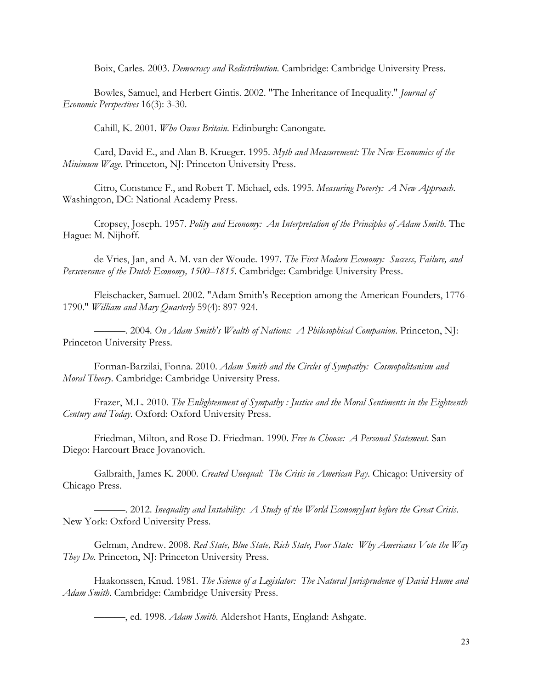Boix, Carles. 2003. *Democracy and Redistribution*. Cambridge: Cambridge University Press.

Bowles, Samuel, and Herbert Gintis. 2002. "The Inheritance of Inequality." *Journal of Economic Perspectives* 16(3): 3-30.

Cahill, K. 2001. *Who Owns Britain.* Edinburgh: Canongate.

Card, David E., and Alan B. Krueger. 1995. *Myth and Measurement: The New Economics of the Minimum Wage*. Princeton, NJ: Princeton University Press.

Citro, Constance F., and Robert T. Michael, eds. 1995. *Measuring Poverty: A New Approach*. Washington, DC: National Academy Press.

Cropsey, Joseph. 1957. *Polity and Economy: An Interpretation of the Principles of Adam Smith*. The Hague: M. Nijhoff.

de Vries, Jan, and A. M. van der Woude. 1997. *The First Modern Economy: Success, Failure, and Perseverance of the Dutch Economy, 1500–1815*. Cambridge: Cambridge University Press.

Fleischacker, Samuel. 2002. "Adam Smith's Reception among the American Founders, 1776- 1790." *William and Mary Quarterly* 59(4): 897-924.

———. 2004. *On Adam Smith's Wealth of Nations: A Philosophical Companion*. Princeton, NJ: Princeton University Press.

Forman-Barzilai, Fonna. 2010. *Adam Smith and the Circles of Sympathy: Cosmopolitanism and Moral Theory*. Cambridge: Cambridge University Press.

Frazer, M.L. 2010. *The Enlightenment of Sympathy : Justice and the Moral Sentiments in the Eighteenth Century and Today*. Oxford: Oxford University Press.

Friedman, Milton, and Rose D. Friedman. 1990. *Free to Choose: A Personal Statement*. San Diego: Harcourt Brace Jovanovich.

Galbraith, James K. 2000. *Created Unequal: The Crisis in American Pay*. Chicago: University of Chicago Press.

———. 2012. *Inequality and Instability: A Study of the World EconomyJust before the Great Crisis*. New York: Oxford University Press.

Gelman, Andrew. 2008. *Red State, Blue State, Rich State, Poor State: Why Americans Vote the Way They Do*. Princeton, NJ: Princeton University Press.

Haakonssen, Knud. 1981. *The Science of a Legislator: The Natural Jurisprudence of David Hume and Adam Smith*. Cambridge: Cambridge University Press.

———, ed. 1998. *Adam Smith*. Aldershot Hants, England: Ashgate.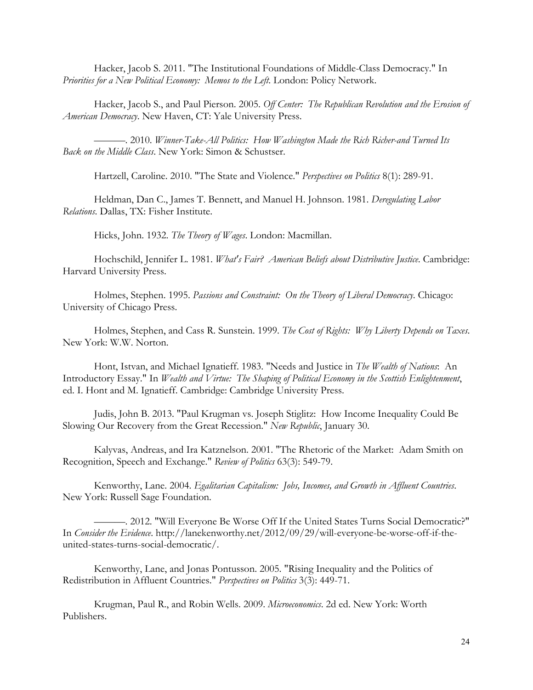Hacker, Jacob S. 2011. "The Institutional Foundations of Middle-Class Democracy." In *Priorities for a New Political Economy: Memos to the Left*. London: Policy Network.

Hacker, Jacob S., and Paul Pierson. 2005. *Off Center: The Republican Revolution and the Erosion of American Democracy*. New Haven, CT: Yale University Press.

———. 2010. *Winner-Take-All Politics: How Washington Made the Rich Richer-and Turned Its Back on the Middle Class*. New York: Simon & Schustser.

Hartzell, Caroline. 2010. "The State and Violence." *Perspectives on Politics* 8(1): 289-91.

Heldman, Dan C., James T. Bennett, and Manuel H. Johnson. 1981. *Deregulating Labor Relations*. Dallas, TX: Fisher Institute.

Hicks, John. 1932. *The Theory of Wages*. London: Macmillan.

Hochschild, Jennifer L. 1981. *What's Fair? American Beliefs about Distributive Justice*. Cambridge: Harvard University Press.

Holmes, Stephen. 1995. *Passions and Constraint: On the Theory of Liberal Democracy*. Chicago: University of Chicago Press.

Holmes, Stephen, and Cass R. Sunstein. 1999. *The Cost of Rights: Why Liberty Depends on Taxes*. New York: W.W. Norton.

Hont, Istvan, and Michael Ignatieff. 1983. "Needs and Justice in *The Wealth of Nations*: An Introductory Essay." In *Wealth and Virtue: The Shaping of Political Economy in the Scottish Enlightenment*, ed. I. Hont and M. Ignatieff. Cambridge: Cambridge University Press.

Judis, John B. 2013. "Paul Krugman vs. Joseph Stiglitz: How Income Inequality Could Be Slowing Our Recovery from the Great Recession." *New Republic*, January 30.

Kalyvas, Andreas, and Ira Katznelson. 2001. "The Rhetoric of the Market: Adam Smith on Recognition, Speech and Exchange." *Review of Politics* 63(3): 549-79.

Kenworthy, Lane. 2004. *Egalitarian Capitalism: Jobs, Incomes, and Growth in Affluent Countries*. New York: Russell Sage Foundation.

———. 2012. "Will Everyone Be Worse Off If the United States Turns Social Democratic?" In *Consider the Evidence*. http://lanekenworthy.net/2012/09/29/will-everyone-be-worse-off-if-theunited-states-turns-social-democratic/.

Kenworthy, Lane, and Jonas Pontusson. 2005. "Rising Inequality and the Politics of Redistribution in Affluent Countries." *Perspectives on Politics* 3(3): 449-71.

Krugman, Paul R., and Robin Wells. 2009. *Microeconomics*. 2d ed. New York: Worth Publishers.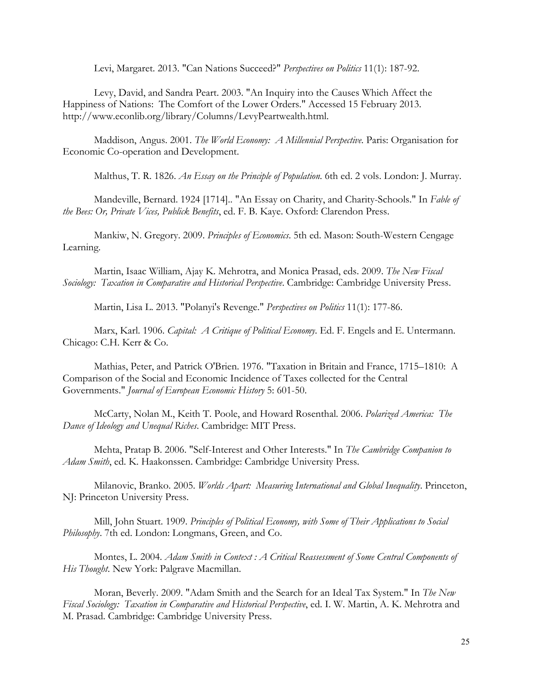Levi, Margaret. 2013. "Can Nations Succeed?" *Perspectives on Politics* 11(1): 187-92.

Levy, David, and Sandra Peart. 2003. "An Inquiry into the Causes Which Affect the Happiness of Nations: The Comfort of the Lower Orders." Accessed 15 February 2013. http://www.econlib.org/library/Columns/LevyPeartwealth.html.

Maddison, Angus. 2001. *The World Economy: A Millennial Perspective*. Paris: Organisation for Economic Co-operation and Development.

Malthus, T. R. 1826. *An Essay on the Principle of Population*. 6th ed. 2 vols. London: J. Murray.

Mandeville, Bernard. 1924 [1714].. "An Essay on Charity, and Charity-Schools." In *Fable of the Bees: Or, Private Vices, Publick Benefits*, ed. F. B. Kaye. Oxford: Clarendon Press.

Mankiw, N. Gregory. 2009. *Principles of Economics*. 5th ed. Mason: South-Western Cengage Learning.

Martin, Isaac William, Ajay K. Mehrotra, and Monica Prasad, eds. 2009. *The New Fiscal Sociology: Taxation in Comparative and Historical Perspective*. Cambridge: Cambridge University Press.

Martin, Lisa L. 2013. "Polanyi's Revenge." *Perspectives on Politics* 11(1): 177-86.

Marx, Karl. 1906. *Capital: A Critique of Political Economy*. Ed. F. Engels and E. Untermann. Chicago: C.H. Kerr & Co.

Mathias, Peter, and Patrick O'Brien. 1976. "Taxation in Britain and France, 1715–1810: A Comparison of the Social and Economic Incidence of Taxes collected for the Central Governments." *Journal of European Economic History* 5: 601-50.

McCarty, Nolan M., Keith T. Poole, and Howard Rosenthal. 2006. *Polarized America: The Dance of Ideology and Unequal Riches*. Cambridge: MIT Press.

Mehta, Pratap B. 2006. "Self-Interest and Other Interests." In *The Cambridge Companion to Adam Smith*, ed. K. Haakonssen. Cambridge: Cambridge University Press.

Milanovic, Branko. 2005. *Worlds Apart: Measuring International and Global Inequality*. Princeton, NJ: Princeton University Press.

Mill, John Stuart. 1909. *Principles of Political Economy, with Some of Their Applications to Social Philosophy*. 7th ed. London: Longmans, Green, and Co.

Montes, L. 2004. *Adam Smith in Context : A Critical Reassessment of Some Central Components of His Thought*. New York: Palgrave Macmillan.

Moran, Beverly. 2009. "Adam Smith and the Search for an Ideal Tax System." In *The New Fiscal Sociology: Taxation in Comparative and Historical Perspective*, ed. I. W. Martin, A. K. Mehrotra and M. Prasad. Cambridge: Cambridge University Press.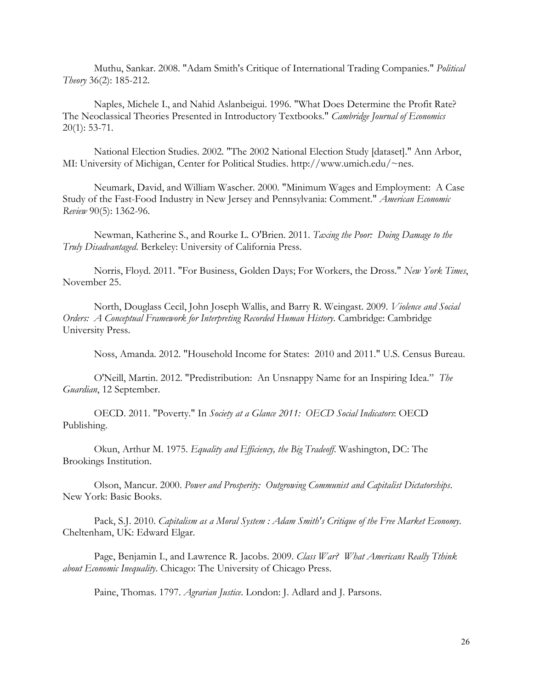Muthu, Sankar. 2008. "Adam Smith's Critique of International Trading Companies." *Political Theory* 36(2): 185-212.

Naples, Michele I., and Nahid Aslanbeigui. 1996. "What Does Determine the Profit Rate? The Neoclassical Theories Presented in Introductory Textbooks." *Cambridge Journal of Economics* 20(1): 53-71.

National Election Studies. 2002. "The 2002 National Election Study [dataset]." Ann Arbor, MI: University of Michigan, Center for Political Studies. http://www.umich.edu/~nes.

Neumark, David, and William Wascher. 2000. "Minimum Wages and Employment: A Case Study of the Fast-Food Industry in New Jersey and Pennsylvania: Comment." *American Economic Review* 90(5): 1362-96.

Newman, Katherine S., and Rourke L. O'Brien. 2011. *Taxing the Poor: Doing Damage to the Truly Disadvantaged*. Berkeley: University of California Press.

Norris, Floyd. 2011. "For Business, Golden Days; For Workers, the Dross." *New York Times*, November 25.

North, Douglass Cecil, John Joseph Wallis, and Barry R. Weingast. 2009. *Violence and Social Orders: A Conceptual Framework for Interpreting Recorded Human History*. Cambridge: Cambridge University Press.

Noss, Amanda. 2012. "Household Income for States: 2010 and 2011." U.S. Census Bureau.

O'Neill, Martin. 2012. "Predistribution: An Unsnappy Name for an Inspiring Idea." *The Guardian*, 12 September.

OECD. 2011. "Poverty." In *Society at a Glance 2011: OECD Social Indicators*: OECD Publishing.

Okun, Arthur M. 1975. *Equality and Efficiency, the Big Tradeoff*. Washington, DC: The Brookings Institution.

Olson, Mancur. 2000. *Power and Prosperity: Outgrowing Communist and Capitalist Dictatorships*. New York: Basic Books.

Pack, S.J. 2010. *Capitalism as a Moral System : Adam Smith's Critique of the Free Market Economy*. Cheltenham, UK: Edward Elgar.

Page, Benjamin I., and Lawrence R. Jacobs. 2009. *Class War? What Americans Really Tthink about Economic Inequality*. Chicago: The University of Chicago Press.

Paine, Thomas. 1797. *Agrarian Justice*. London: J. Adlard and J. Parsons.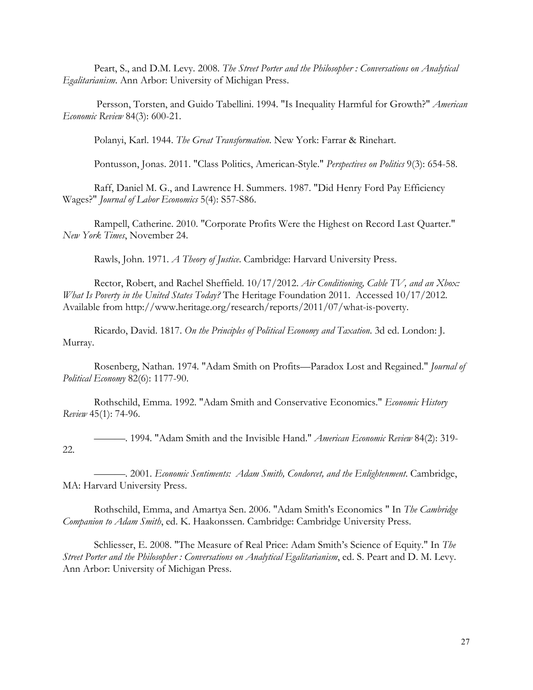Peart, S., and D.M. Levy. 2008. *The Street Porter and the Philosopher : Conversations on Analytical Egalitarianism*. Ann Arbor: University of Michigan Press.

Persson, Torsten, and Guido Tabellini. 1994. "Is Inequality Harmful for Growth?" *American Economic Review* 84(3): 600-21.

Polanyi, Karl. 1944. *The Great Transformation*. New York: Farrar & Rinehart.

Pontusson, Jonas. 2011. "Class Politics, American-Style." *Perspectives on Politics* 9(3): 654-58.

Raff, Daniel M. G., and Lawrence H. Summers. 1987. "Did Henry Ford Pay Efficiency Wages?" *Journal of Labor Economics* 5(4): S57-S86.

Rampell, Catherine. 2010. "Corporate Profits Were the Highest on Record Last Quarter." *New York Times*, November 24.

Rawls, John. 1971. *A Theory of Justice*. Cambridge: Harvard University Press.

Rector, Robert, and Rachel Sheffield. 10/17/2012. *Air Conditioning, Cable TV, and an Xbox: What Is Poverty in the United States Today?* The Heritage Foundation 2011. Accessed 10/17/2012. Available from http://www.heritage.org/research/reports/2011/07/what-is-poverty.

Ricardo, David. 1817. *On the Principles of Political Economy and Taxation*. 3d ed. London: J. Murray.

Rosenberg, Nathan. 1974. "Adam Smith on Profits—Paradox Lost and Regained." *Journal of Political Economy* 82(6): 1177-90.

Rothschild, Emma. 1992. "Adam Smith and Conservative Economics." *Economic History Review* 45(1): 74-96.

———. 1994. "Adam Smith and the Invisible Hand." *American Economic Review* 84(2): 319- 22.

———. 2001. *Economic Sentiments: Adam Smith, Condorcet, and the Enlightenment*. Cambridge, MA: Harvard University Press.

Rothschild, Emma, and Amartya Sen. 2006. "Adam Smith's Economics " In *The Cambridge Companion to Adam Smith*, ed. K. Haakonssen. Cambridge: Cambridge University Press.

Schliesser, E. 2008. "The Measure of Real Price: Adam Smith's Science of Equity." In *The Street Porter and the Philosopher : Conversations on Analytical Egalitarianism*, ed. S. Peart and D. M. Levy. Ann Arbor: University of Michigan Press.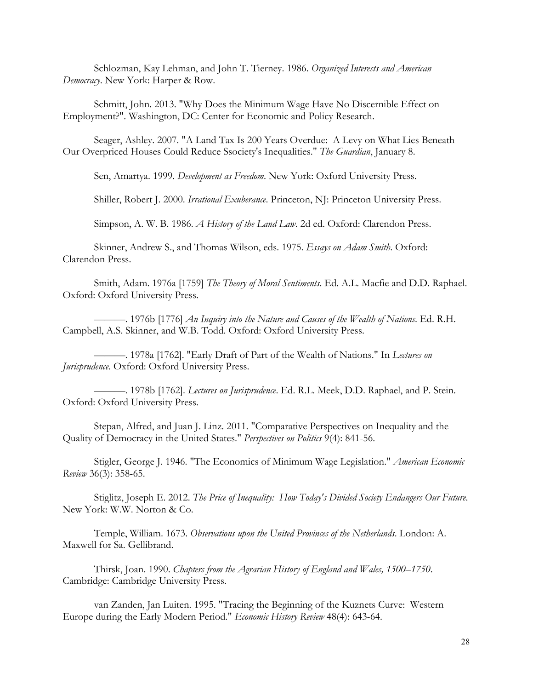Schlozman, Kay Lehman, and John T. Tierney. 1986. *Organized Interests and American Democracy*. New York: Harper & Row.

Schmitt, John. 2013. "Why Does the Minimum Wage Have No Discernible Effect on Employment?". Washington, DC: Center for Economic and Policy Research.

Seager, Ashley. 2007. "A Land Tax Is 200 Years Overdue: A Levy on What Lies Beneath Our Overpriced Houses Could Reduce Ssociety's Inequalities." *The Guardian*, January 8.

Sen, Amartya. 1999. *Development as Freedom*. New York: Oxford University Press.

Shiller, Robert J. 2000. *Irrational Exuberance*. Princeton, NJ: Princeton University Press.

Simpson, A. W. B. 1986. *A History of the Land Law*. 2d ed. Oxford: Clarendon Press.

Skinner, Andrew S., and Thomas Wilson, eds. 1975. *Essays on Adam Smith*. Oxford: Clarendon Press.

Smith, Adam. 1976a [1759] *The Theory of Moral Sentiments*. Ed. A.L. Macfie and D.D. Raphael. Oxford: Oxford University Press.

———. 1976b [1776] *An Inquiry into the Nature and Causes of the Wealth of Nations*. Ed. R.H. Campbell, A.S. Skinner, and W.B. Todd. Oxford: Oxford University Press.

———. 1978a [1762]. "Early Draft of Part of the Wealth of Nations." In *Lectures on Jurisprudence*. Oxford: Oxford University Press.

———. 1978b [1762]. *Lectures on Jurisprudence*. Ed. R.L. Meek, D.D. Raphael, and P. Stein. Oxford: Oxford University Press.

Stepan, Alfred, and Juan J. Linz. 2011. "Comparative Perspectives on Inequality and the Quality of Democracy in the United States." *Perspectives on Politics* 9(4): 841-56.

Stigler, George J. 1946. "The Economics of Minimum Wage Legislation." *American Economic Review* 36(3): 358-65.

Stiglitz, Joseph E. 2012. *The Price of Inequality: How Today's Divided Society Endangers Our Future*. New York: W.W. Norton & Co.

Temple, William. 1673. *Observations upon the United Provinces of the Netherlands*. London: A. Maxwell for Sa. Gellibrand.

Thirsk, Joan. 1990. *Chapters from the Agrarian History of England and Wales, 1500–1750*. Cambridge: Cambridge University Press.

van Zanden, Jan Luiten. 1995. "Tracing the Beginning of the Kuznets Curve: Western Europe during the Early Modern Period." *Economic History Review* 48(4): 643-64.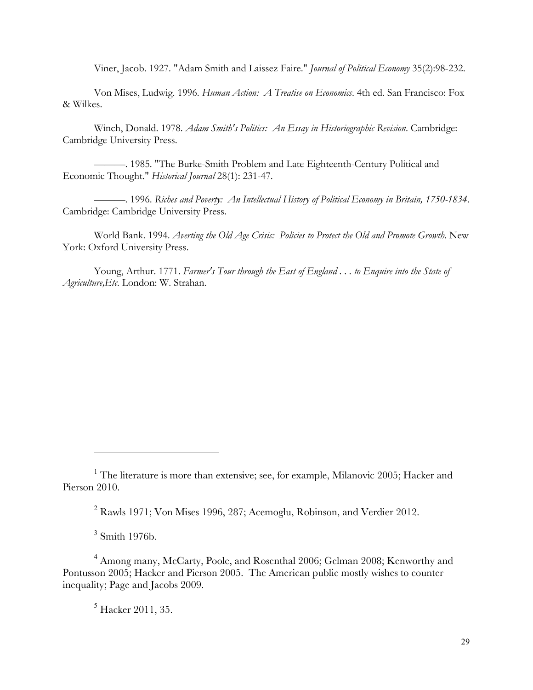Viner, Jacob. 1927. "Adam Smith and Laissez Faire." *Journal of Political Economy* 35(2):98-232.

Von Mises, Ludwig. 1996. *Human Action: A Treatise on Economics*. 4th ed. San Francisco: Fox & Wilkes.

Winch, Donald. 1978. *Adam Smith's Politics: An Essay in Historiographic Revision*. Cambridge: Cambridge University Press.

———. 1985. "The Burke-Smith Problem and Late Eighteenth-Century Political and Economic Thought." *Historical Journal* 28(1): 231-47.

———. 1996. *Riches and Poverty: An Intellectual History of Political Economy in Britain, 1750-1834*. Cambridge: Cambridge University Press.

World Bank. 1994. *Averting the Old Age Crisis: Policies to Protect the Old and Promote Growth*. New York: Oxford University Press.

Young, Arthur. 1771. *Farmer's Tour through the East of England . . . to Enquire into the State of Agriculture,Etc*. London: W. Strahan.

l

 $<sup>5</sup>$  Hacker 2011, 35.</sup>

<sup>&</sup>lt;sup>1</sup> The literature is more than extensive; see, for example, Milanovic 2005; Hacker and Pierson 2010.

<sup>2</sup> Rawls 1971; Von Mises 1996, 287; Acemoglu, Robinson, and Verdier 2012.

 $3$  Smith 1976b.

<sup>4</sup> Among many, McCarty, Poole, and Rosenthal 2006; Gelman 2008; Kenworthy and Pontusson 2005; Hacker and Pierson 2005. The American public mostly wishes to counter inequality; Page and Jacobs 2009.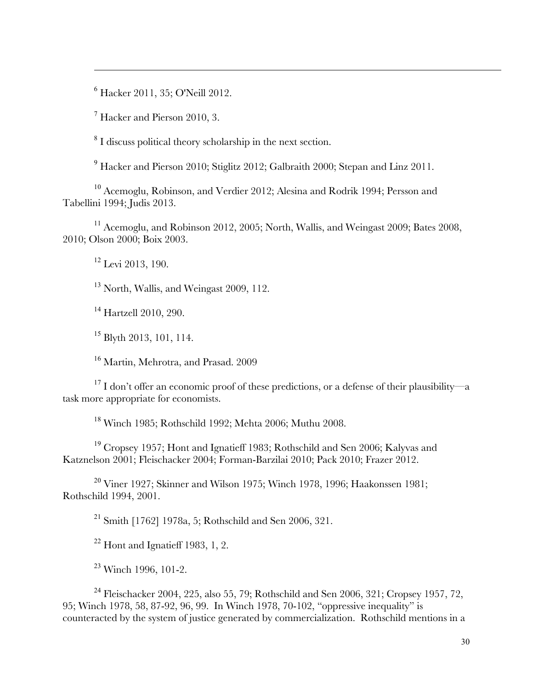<sup>6</sup> Hacker 2011, 35; O'Neill 2012.

<sup>7</sup> Hacker and Pierson 2010, 3.

 $\overline{a}$ 

<sup>8</sup> I discuss political theory scholarship in the next section.

<sup>9</sup> Hacker and Pierson 2010; Stiglitz 2012; Galbraith 2000; Stepan and Linz 2011.

<sup>10</sup> Acemoglu, Robinson, and Verdier 2012; Alesina and Rodrik 1994; Persson and Tabellini 1994; Judis 2013.

 $11$  Acemoglu, and Robinson 2012, 2005; North, Wallis, and Weingast 2009; Bates 2008, 2010; Olson 2000; Boix 2003.

<sup>12</sup> Levi 2013, 190.

<sup>13</sup> North, Wallis, and Weingast 2009, 112.

<sup>14</sup> Hartzell 2010, 290.

<sup>15</sup> Blyth 2013, 101, 114.

<sup>16</sup> Martin, Mehrotra, and Prasad. 2009

<sup>17</sup> I don't offer an economic proof of these predictions, or a defense of their plausibility—a task more appropriate for economists.

<sup>18</sup> Winch 1985; Rothschild 1992; Mehta 2006; Muthu 2008.

<sup>19</sup> Cropsey 1957; Hont and Ignatieff 1983; Rothschild and Sen 2006; Kalyvas and Katznelson 2001; Fleischacker 2004; Forman-Barzilai 2010; Pack 2010; Frazer 2012.

<sup>20</sup> Viner 1927; Skinner and Wilson 1975; Winch 1978, 1996; Haakonssen 1981; Rothschild 1994, 2001.

<sup>21</sup> Smith [1762] 1978a, 5; Rothschild and Sen 2006, 321.

 $22$  Hont and Ignatieff 1983, 1, 2.

<sup>23</sup> Winch 1996, 101-2.

<sup>24</sup> Fleischacker 2004, 225, also 55, 79; Rothschild and Sen 2006, 321; Cropsey 1957, 72, 95; Winch 1978, 58, 87-92, 96, 99. In Winch 1978, 70-102, "oppressive inequality" is counteracted by the system of justice generated by commercialization. Rothschild mentions in a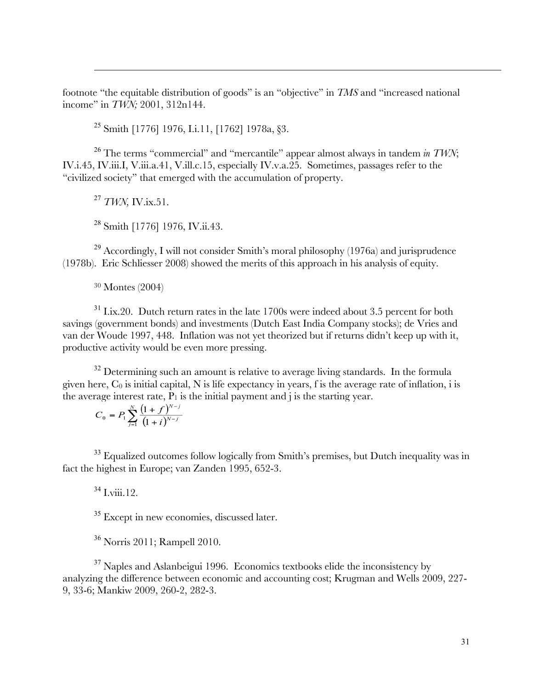footnote "the equitable distribution of goods" is an "objective" in *TMS* and "increased national income" in *TWN;* 2001, 312n144.

<sup>25</sup> Smith [1776] 1976, I.i.11, [1762] 1978a, §3.

<sup>26</sup> The terms "commercial" and "mercantile" appear almost always in tandem *in TWN*; IV.i.45, IV.iii.I, V.iii.a.41, V.ill.c.15, especially IV.v.a.25. Sometimes, passages refer to the "civilized society" that emerged with the accumulation of property.

<sup>27</sup> *TWN,* IV.ix.51.

 $\overline{a}$ 

<sup>28</sup> Smith [1776] 1976, IV.ii.43.

 $^{29}$  Accordingly, I will not consider Smith's moral philosophy (1976a) and jurisprudence (1978b). Eric Schliesser 2008) showed the merits of this approach in his analysis of equity.

<sup>30</sup> Montes (2004)

 $31$  I.ix.20. Dutch return rates in the late 1700s were indeed about 3.5 percent for both savings (government bonds) and investments (Dutch East India Company stocks); de Vries and van der Woude 1997, 448. Inflation was not yet theorized but if returns didn't keep up with it, productive activity would be even more pressing.

 $32$  Determining such an amount is relative to average living standards. In the formula given here,  $C_0$  is initial capital, N is life expectancy in years, f is the average rate of inflation, i is the average interest rate,  $P_1$  is the initial payment and j is the starting year.

$$
C_0 = P_1 \sum_{j=1}^{N} \frac{\left(1+f\right)^{N-j}}{\left(1+i\right)^{N-j}}
$$

<sup>33</sup> Equalized outcomes follow logically from Smith's premises, but Dutch inequality was in fact the highest in Europe; van Zanden 1995, 652-3.

 $34$  I viii. 12.

<sup>35</sup> Except in new economies, discussed later.

<sup>36</sup> Norris 2011; Rampell 2010.

<sup>37</sup> Naples and Aslanbeigui 1996. Economics textbooks elide the inconsistency by analyzing the difference between economic and accounting cost; Krugman and Wells 2009, 227- 9, 33-6; Mankiw 2009, 260-2, 282-3.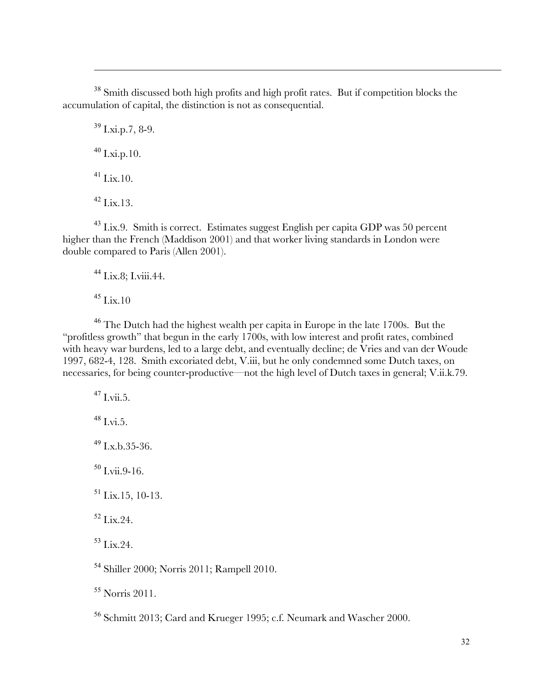<sup>38</sup> Smith discussed both high profits and high profit rates. But if competition blocks the accumulation of capital, the distinction is not as consequential.

 $39$  I.xi.p.7, 8-9.  $40$  I.xi.p.10.  $^{41}$  I.ix.10.  $^{42}$  Lix.13.

 $\overline{a}$ 

<sup>43</sup> I.ix.9. Smith is correct. Estimates suggest English per capita GDP was 50 percent higher than the French (Maddison 2001) and that worker living standards in London were double compared to Paris (Allen 2001).

<sup>44</sup> I.ix.8; I.viii.44.

 $45$  I.ix.10

<sup>46</sup> The Dutch had the highest wealth per capita in Europe in the late 1700s. But the "profitless growth" that begun in the early 1700s, with low interest and profit rates, combined with heavy war burdens, led to a large debt, and eventually decline; de Vries and van der Woude 1997, 682-4, 128. Smith excoriated debt, V.iii, but he only condemned some Dutch taxes, on necessaries, for being counter-productive—not the high level of Dutch taxes in general; V.ii.k.79.

 $47$  I vii 5.  $^{48}$  I.vi.5.  $^{49}$  Lx.b.35-36.  $50$  I.vii.9-16. <sup>51</sup> I.ix.15, 10-13.  $52$  Lix. 24.  $53$  Lix.24. <sup>54</sup> Shiller 2000; Norris 2011; Rampell 2010.

<sup>55</sup> Norris 2011.

<sup>56</sup> Schmitt 2013; Card and Krueger 1995; c.f. Neumark and Wascher 2000.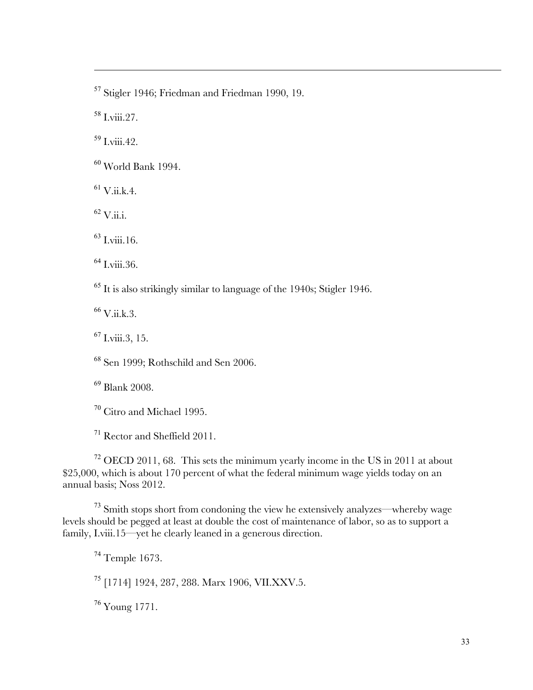<sup>57</sup> Stigler 1946; Friedman and Friedman 1990, 19.

<sup>58</sup> I.viii.27.

 $\overline{a}$ 

 $59$  I viii. 42.

 $^{60}$  World Bank 1994.

 $61$  V.ii.k.4.

 $^{62}$  V.ii.i.

 $^{63}$  Lyiii.16.

 $<sup>64</sup>$  I.viii.36.</sup>

<sup>65</sup> It is also strikingly similar to language of the 1940s; Stigler 1946.

 $^{66}$  V.ii.k.3.

 $^{67}$  I.viii.3, 15.

<sup>68</sup> Sen 1999; Rothschild and Sen 2006.

<sup>69</sup> Blank 2008.

<sup>70</sup> Citro and Michael 1995.

<sup>71</sup> Rector and Sheffield 2011.

 $72$  OECD 2011, 68. This sets the minimum yearly income in the US in 2011 at about \$25,000, which is about 170 percent of what the federal minimum wage yields today on an annual basis; Noss 2012.

<sup>73</sup> Smith stops short from condoning the view he extensively analyzes—whereby wage levels should be pegged at least at double the cost of maintenance of labor, so as to support a family, I.viii.15—yet he clearly leaned in a generous direction.

<sup>74</sup> Temple 1673.

<sup>75</sup> [1714] 1924, 287, 288. Marx 1906, VII.XXV.5.

<sup>76</sup> Young 1771.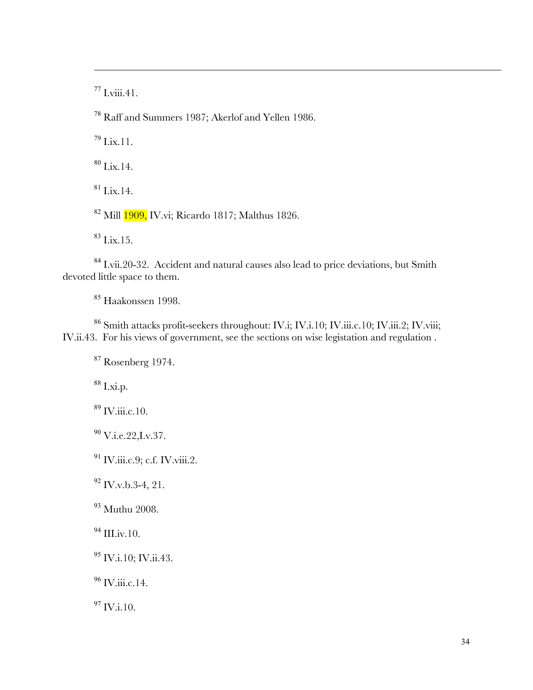$77$  I.viii.41.

 $\overline{a}$ 

<sup>78</sup> Raff and Summers 1987; Akerlof and Yellen 1986.

 $^{79}$  Lix.11.

 $80$  I.ix.14.

 $81$  I.ix.14.

<sup>82</sup> Mill 1909, IV.vi; Ricardo 1817; Malthus 1826.

 $83$  I.ix.15.

<sup>84</sup> I.vii.20-32. Accident and natural causes also lead to price deviations, but Smith devoted little space to them.

<sup>85</sup> Haakonssen 1998.

<sup>86</sup> Smith attacks profit-seekers throughout: IV.i; IV.i.10; IV.iii.c.10; IV.iii.2; IV.viii; IV.ii.43. For his views of government, see the sections on wise legistation and regulation .

 $87$  Rosenberg 1974.

 $88$  I.xi.p.

<sup>89</sup> IV.iii.c.10.

 $^{90}$  V.i.e.22, I.v.37.

<sup>91</sup> IV.iii.c.9; c.f. IV.viii.2.

 $92$  IV.v.b.3-4, 21.

<sup>93</sup> Muthu 2008.

 $^{94}$  III.iv.10.

<sup>95</sup> IV.i.10; IV.ii.43.

 $^{96}$  IV.iii.c.14.

 $^{97}$  IV.i.10.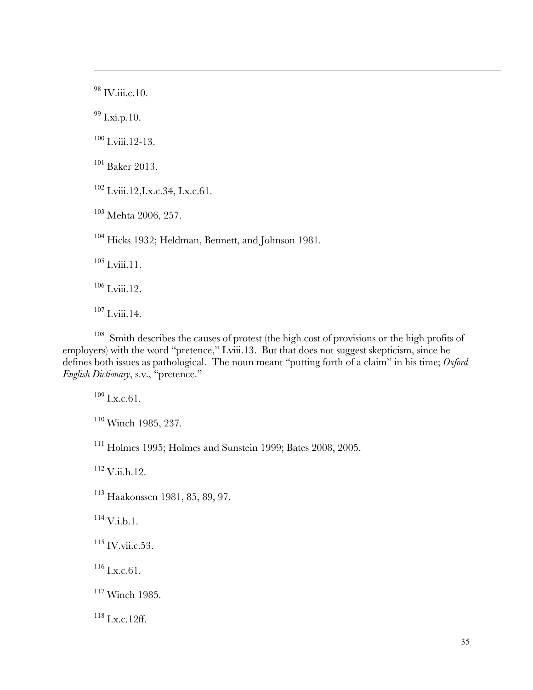$^{98}$  IV.iii.c.10.

 $\overline{a}$ 

I.xi.p.10.

Lyiii.12-13.

 $^{101}$  Baker 2013.

I.viii.12, I.x.c. 34, I.x.c. 61.

Mehta 2006, 257.

Hicks 1932; Heldman, Bennett, and Johnson 1981.

I.viii.11.

I.viii.12.

I.viii.14.

<sup>108</sup> Smith describes the causes of protest (the high cost of provisions or the high profits of employers) with the word "pretence," I.viii.13. But that does not suggest skepticism, since he defines both issues as pathological. The noun meant "putting forth of a claim" in his time; *Oxford English Dictionary*, s.v., "pretence."

I.x.c. 61.

Winch 1985, 237.

Holmes 1995; Holmes and Sunstein 1999; Bates 2008, 2005.

V.ii.h.12.

Haakonssen 1981, 85, 89, 97.

V.i.b.1.

 $^{115}$  IV.vii.c.53.

 $^{116}$  I.x.c. 61.

Winch 1985.

I.x.c. 12ff.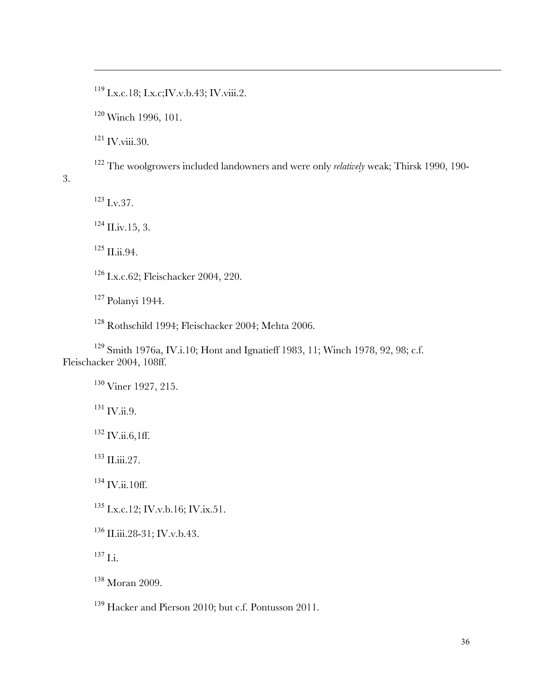I.x.c.18; I.x.c; IV.v.b.43; IV.viii.2.

Winch 1996, 101.

IV.viii.30.

 $\overline{a}$ 

The woolgrowers included landowners and were only *relatively* weak; Thirsk 1990, 190-

3.

I.v. 37.

II.iv. 15, 3.

II.ii.94.

I.x.c.62; Fleischacker 2004, 220.

Polanyi 1944.

Rothschild 1994; Fleischacker 2004; Mehta 2006.

 Smith 1976a, IV.i.10; Hont and Ignatieff 1983, 11; Winch 1978, 92, 98; c.f. Fleischacker 2004, 108ff.

Viner 1927, 215.

 $^{131}$  IV.ii.9.

IV.ii.6,1ff.

 $^{133}$  II.iii.27.

<sup>134</sup> IV.ii.10ff.

I.x.c.12; IV.v.b.16; IV.ix.51.

<sup>136</sup> II.iii.28-31; IV.v.b.43.

 $^{137}$  I.i.

Moran 2009.

Hacker and Pierson 2010; but c.f. Pontusson 2011.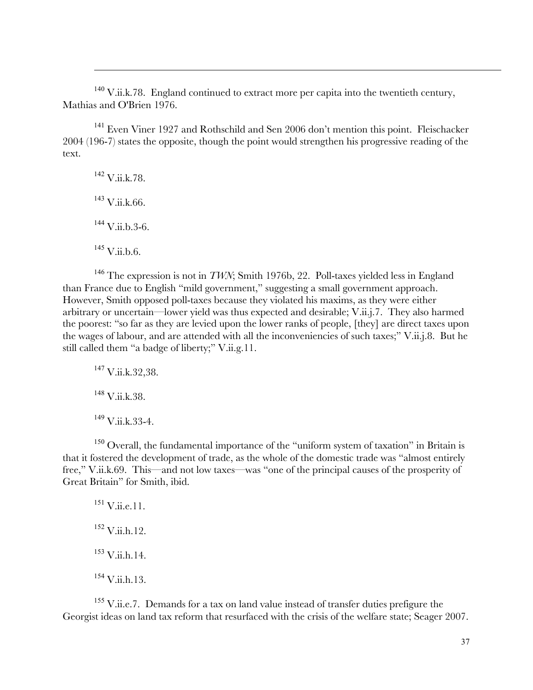$140$  V.ii.k.78. England continued to extract more per capita into the twentieth century, Mathias and O'Brien 1976.

<sup>141</sup> Even Viner 1927 and Rothschild and Sen 2006 don't mention this point. Fleischacker 2004 (196-7) states the opposite, though the point would strengthen his progressive reading of the text.

<sup>142</sup> V.ii.k.78.  $^{143}$  V.ii.k.66.  $^{144}$  V.ii.b.3-6.  $^{145}$  V.ii.b.6.

 $\overline{a}$ 

<sup>146</sup> The expression is not in *TWN*; Smith 1976b, 22. Poll-taxes yielded less in England than France due to English "mild government," suggesting a small government approach. However, Smith opposed poll-taxes because they violated his maxims, as they were either arbitrary or uncertain—lower yield was thus expected and desirable; V.ii.j.7. They also harmed the poorest: "so far as they are levied upon the lower ranks of people, [they] are direct taxes upon the wages of labour, and are attended with all the inconveniencies of such taxes;" V.ii.j.8. But he still called them "a badge of liberty;" V.ii.g.11.

<sup>147</sup> V.ii.k.32,38.  $148$  V.ii.k.38.  $^{149}$  V.ii.k.33-4.

<sup>150</sup> Overall, the fundamental importance of the "uniform system of taxation" in Britain is that it fostered the development of trade, as the whole of the domestic trade was "almost entirely free," V.ii.k.69. This—and not low taxes—was "one of the principal causes of the prosperity of Great Britain" for Smith, ibid.

 $^{151}$  V.ii.e.11.  $152$  V.ii.h.12.  $153$  V.ii.h.14.  $^{154}$  V.ii.h.13.

 $155$  V.ii.e.7. Demands for a tax on land value instead of transfer duties prefigure the Georgist ideas on land tax reform that resurfaced with the crisis of the welfare state; Seager 2007.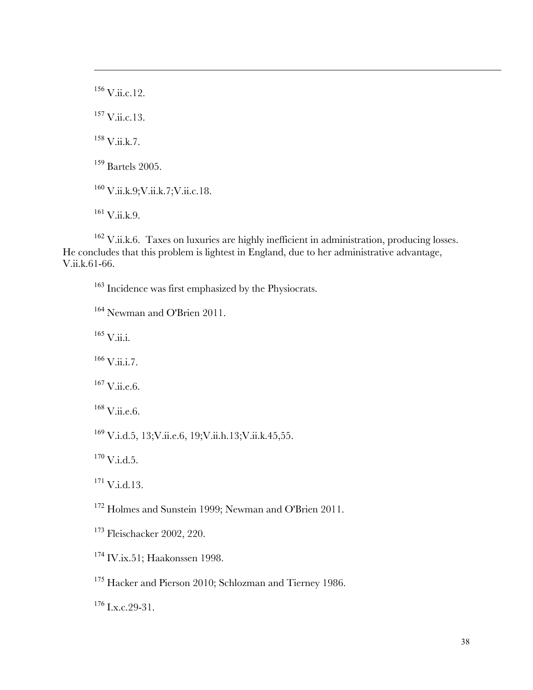V.ii.c.12.  $^{157}$  V.ii.c.13. V.ii.k.7. <sup>159</sup> Bartels 2005. V.ii.k.9;V.ii.k.7;V.ii.c.18. V.ii.k.9.

 $\overline{a}$ 

<sup>162</sup> V.ii.k.6. Taxes on luxuries are highly inefficient in administration, producing losses. He concludes that this problem is lightest in England, due to her administrative advantage, V.ii.k.61-66.

<sup>163</sup> Incidence was first emphasized by the Physiocrats.

<sup>164</sup> Newman and O'Brien 2011.

 $^{165}$  V.ii.i.

 $166$  V.ii.i.7.

 $^{167}$  V.ii.e.6.

 $168$  V.ii.e.6.

<sup>169</sup> V.i.d.5, 13;V.ii.e.6, 19;V.ii.h.13;V.ii.k.45,55.

 $^{170}$  V.i.d.5.

<sup>171</sup> V.i.d.13.

<sup>172</sup> Holmes and Sunstein 1999; Newman and O'Brien 2011.

<sup>173</sup> Fleischacker 2002, 220.

<sup>174</sup> IV.ix.51; Haakonssen 1998.

<sup>175</sup> Hacker and Pierson 2010; Schlozman and Tierney 1986.

 $176$  I.x.c. 29-31.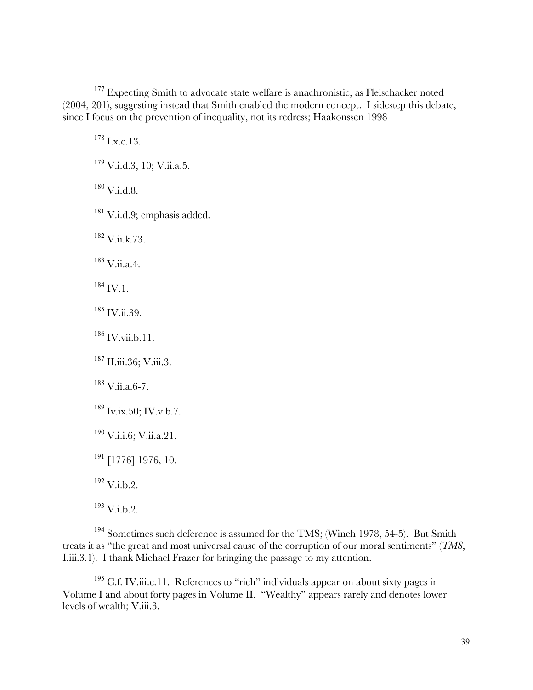<sup>177</sup> Expecting Smith to advocate state welfare is anachronistic, as Fleischacker noted (2004, 201), suggesting instead that Smith enabled the modern concept. I sidestep this debate, since I focus on the prevention of inequality, not its redress; Haakonssen 1998

 $178$  J x c. 13.

 $\overline{a}$ 

 $179$  V.i.d.3, 10; V.ii.a.5.

 $^{180}\rm~V.i.d.8.$ 

 $181$  V.i.d.9; emphasis added.

 $182$  V.ii.k.73.

<sup>183</sup> V.ii.a.4.

 $184$  IV.1.

 $185$  IV.ii.39.

 $186$  IV.vii.b.11.

<sup>187</sup> II.iii.36; V.iii.3.

 $188$  V.ii.a. 6-7.

 $189$  Iv.ix.50; IV.v.b.7.

 $^{190}$  V.i.i.6; V.ii.a.21.

<sup>191</sup> [1776] 1976, 10.

 $192$  V.i.b.2.

 $193$  V.i.b.2.

<sup>194</sup> Sometimes such deference is assumed for the TMS; (Winch 1978, 54-5). But Smith treats it as "the great and most universal cause of the corruption of our moral sentiments" (*TMS*, I.iii.3.1). I thank Michael Frazer for bringing the passage to my attention.

 $195$  C.f. IV.iii.c.11. References to "rich" individuals appear on about sixty pages in Volume I and about forty pages in Volume II. "Wealthy" appears rarely and denotes lower levels of wealth; V.iii.3.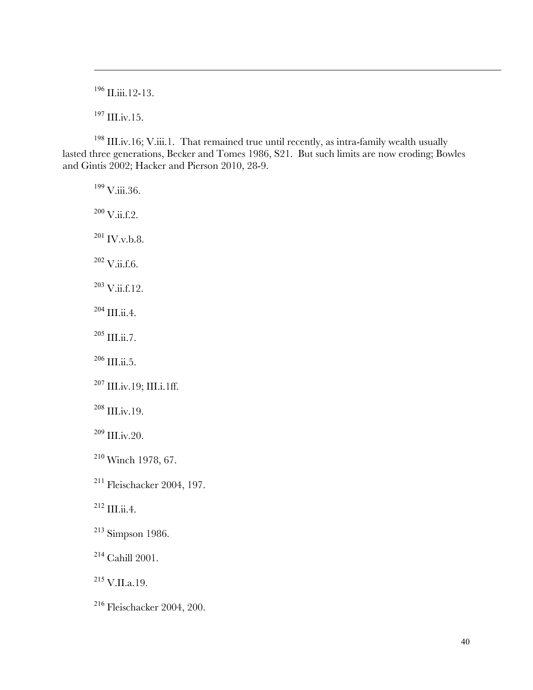II.iii.12-13.

 $^{197}$  III.iv.15.

 $\overline{a}$ 

 III.iv.16; V.iii.1. That remained true until recently, as intra-family wealth usually lasted three generations, Becker and Tomes 1986, S21. But such limits are now eroding; Bowles and Gintis 2002; Hacker and Pierson 2010, 28-9.

V.iii.36.

V.ii.f.2.

 $^{201}$  IV.v.b.8.

V.ii.f.6.

V.ii.f.12.

 $^{204}$  III.ii.4.

 $^{205}$  III.ii.7.

III.ii.5.

 $^{207}$  III.iv.19; III.i.1ff.

III.iv.19.

III.iv.20.

Winch 1978, 67.

Fleischacker 2004, 197.

III.ii.4.

Simpson 1986.

Cahill 2001.

V.II.a.19.

Fleischacker 2004, 200.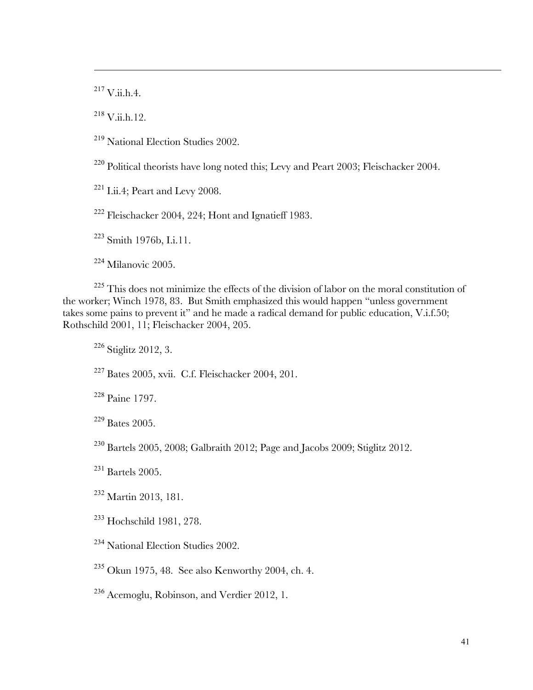$^{217}$  V.ii.h.4.

 $\overline{a}$ 

 $^{218}$  V.ii.h.12.

National Election Studies 2002.

<sup>220</sup> Political theorists have long noted this; Levy and Peart 2003; Fleischacker 2004.

I.ii.4; Peart and Levy 2008.

Fleischacker 2004, 224; Hont and Ignatieff 1983.

Smith 1976b, I.i.11.

Milanovic 2005.

 This does not minimize the effects of the division of labor on the moral constitution of the worker; Winch 1978, 83. But Smith emphasized this would happen "unless government takes some pains to prevent it" and he made a radical demand for public education, V.i.f.50; Rothschild 2001, 11; Fleischacker 2004, 205.

Stiglitz 2012, 3.

Bates 2005, xvii. C.f. Fleischacker 2004, 201.

Paine 1797.

Bates 2005.

Bartels 2005, 2008; Galbraith 2012; Page and Jacobs 2009; Stiglitz 2012.

<sup>231</sup> Bartels 2005.

Martin 2013, 181.

Hochschild 1981, 278.

National Election Studies 2002.

Okun 1975, 48. See also Kenworthy 2004, ch. 4.

Acemoglu, Robinson, and Verdier 2012, 1.